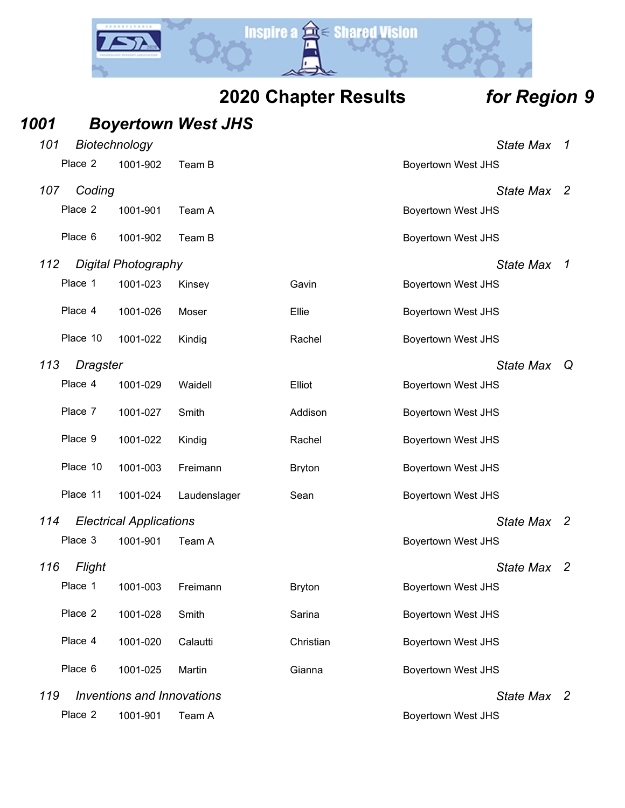

| 1001 |                 |                                   | <b>Boyertown West JHS</b> |               |                           |                |
|------|-----------------|-----------------------------------|---------------------------|---------------|---------------------------|----------------|
| 101  | Biotechnology   |                                   |                           |               | <b>State Max</b>          | 1              |
|      | Place 2         | 1001-902                          | Team B                    |               | <b>Boyertown West JHS</b> |                |
| 107  | Coding          |                                   |                           |               | State Max 2               |                |
|      | Place 2         | 1001-901                          | Team A                    |               | <b>Boyertown West JHS</b> |                |
|      | Place 6         | 1001-902                          | Team B                    |               | <b>Boyertown West JHS</b> |                |
| 112  |                 | <b>Digital Photography</b>        |                           |               | <b>State Max</b>          | $\overline{1}$ |
|      | Place 1         | 1001-023                          | Kinsey                    | Gavin         | <b>Boyertown West JHS</b> |                |
|      | Place 4         | 1001-026                          | Moser                     | Ellie         | Boyertown West JHS        |                |
|      | Place 10        | 1001-022                          | Kindig                    | Rachel        | <b>Boyertown West JHS</b> |                |
| 113  | <b>Dragster</b> |                                   |                           |               | <b>State Max</b>          | Q              |
|      | Place 4         | 1001-029                          | Waidell                   | Elliot        | <b>Boyertown West JHS</b> |                |
|      | Place 7         | 1001-027                          | Smith                     | Addison       | <b>Boyertown West JHS</b> |                |
|      | Place 9         | 1001-022                          | Kindig                    | Rachel        | <b>Boyertown West JHS</b> |                |
|      | Place 10        | 1001-003                          | Freimann                  | <b>Bryton</b> | <b>Boyertown West JHS</b> |                |
|      | Place 11        | 1001-024                          | Laudenslager              | Sean          | <b>Boyertown West JHS</b> |                |
| 114  |                 | <b>Electrical Applications</b>    |                           |               | State Max 2               |                |
|      | Place 3         | 1001-901                          | Team A                    |               | <b>Boyertown West JHS</b> |                |
| 116  | Flight          |                                   |                           |               | <b>State Max</b>          | $\overline{2}$ |
|      | Place 1         | 1001-003                          | Freimann                  | <b>Bryton</b> | <b>Boyertown West JHS</b> |                |
|      | Place 2         | 1001-028                          | Smith                     | Sarina        | <b>Boyertown West JHS</b> |                |
|      | Place 4         | 1001-020                          | Calautti                  | Christian     | <b>Boyertown West JHS</b> |                |
|      | Place 6         | 1001-025                          | Martin                    | Gianna        | <b>Boyertown West JHS</b> |                |
| 119  |                 | <b>Inventions and Innovations</b> |                           |               | State Max 2               |                |
|      | Place 2         | 1001-901                          | Team A                    |               | <b>Boyertown West JHS</b> |                |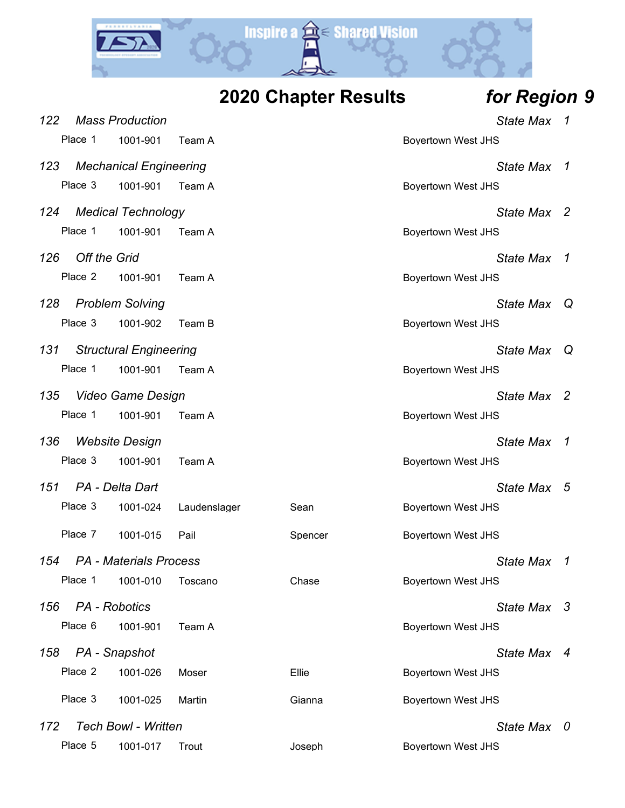

**2020 Chapter Results** *for Region 9*

|                     | <b>Mass Production</b>        |              |         |                           | State Max        | -7           |
|---------------------|-------------------------------|--------------|---------|---------------------------|------------------|--------------|
| Place 1             | 1001-901                      | Team A       |         | <b>Boyertown West JHS</b> |                  |              |
|                     | <b>Mechanical Engineering</b> |              |         |                           | <b>State Max</b> | $\mathcal I$ |
| Place 3             | 1001-901                      | Team A       |         | <b>Boyertown West JHS</b> |                  |              |
|                     | <b>Medical Technology</b>     |              |         |                           | State Max 2      |              |
| Place 1             | 1001-901                      | Team A       |         | <b>Boyertown West JHS</b> |                  |              |
| <b>Off the Grid</b> |                               |              |         |                           | <b>State Max</b> | $\mathcal I$ |
| Place 2             | 1001-901                      | Team A       |         | <b>Boyertown West JHS</b> |                  |              |
|                     | <b>Problem Solving</b>        |              |         |                           | <b>State Max</b> | Q            |
| Place 3             | 1001-902                      | Team B       |         | <b>Boyertown West JHS</b> |                  |              |
|                     | <b>Structural Engineering</b> |              |         |                           | <b>State Max</b> | Q            |
| Place 1             | 1001-901                      | Team A       |         | <b>Boyertown West JHS</b> |                  |              |
|                     | <b>Video Game Design</b>      |              |         |                           | State Max 2      |              |
| Place 1             | 1001-901                      | Team A       |         | <b>Boyertown West JHS</b> |                  |              |
|                     | <b>Website Design</b>         |              |         |                           | <b>State Max</b> | 1            |
| Place 3             | 1001-901                      | Team A       |         | <b>Boyertown West JHS</b> |                  |              |
|                     | PA - Delta Dart               |              |         |                           | <b>State Max</b> | 5            |
| Place 3             | 1001-024                      | Laudenslager | Sean    | <b>Boyertown West JHS</b> |                  |              |
| Place 7             | 1001-015                      | Pail         | Spencer | <b>Boyertown West JHS</b> |                  |              |
|                     | <b>PA</b> - Materials Process |              |         |                           | <b>State Max</b> | 1            |
| Place 1             | 1001-010                      | Toscano      | Chase   | <b>Boyertown West JHS</b> |                  |              |
| PA - Robotics       |                               |              |         |                           | <b>State Max</b> | -3           |
| Place 6             | 1001-901                      | Team A       |         | <b>Boyertown West JHS</b> |                  |              |
| PA - Snapshot       |                               |              |         |                           | State Max 4      |              |
| Place 2             | 1001-026                      | Moser        | Ellie   | <b>Boyertown West JHS</b> |                  |              |
| Place 3             | 1001-025                      | Martin       | Gianna  | Boyertown West JHS        |                  |              |
|                     |                               |              |         |                           |                  |              |

*172 Tech Bowl - Written State Max 0*

*156 PA - Robotics* 

*158 PA - Snapshot State Max 4*

*122 Mass Production State Max 1*

*123 Mechanical Engineering State Max 1*

*124 Medical Technology* 

*126 Off the Grid State Max 1*

*128 Problem Solving State Max Q*

**131 Structural Engineering** 

*135 Video Game Design State Max 2*

*136 Website Design State Max 1*

*151 PA - Delta Dart State Max 5*

*154 PA - Materials Process State Max 1*

Place 5 1001-017 Trout Joseph Boyertown West JHS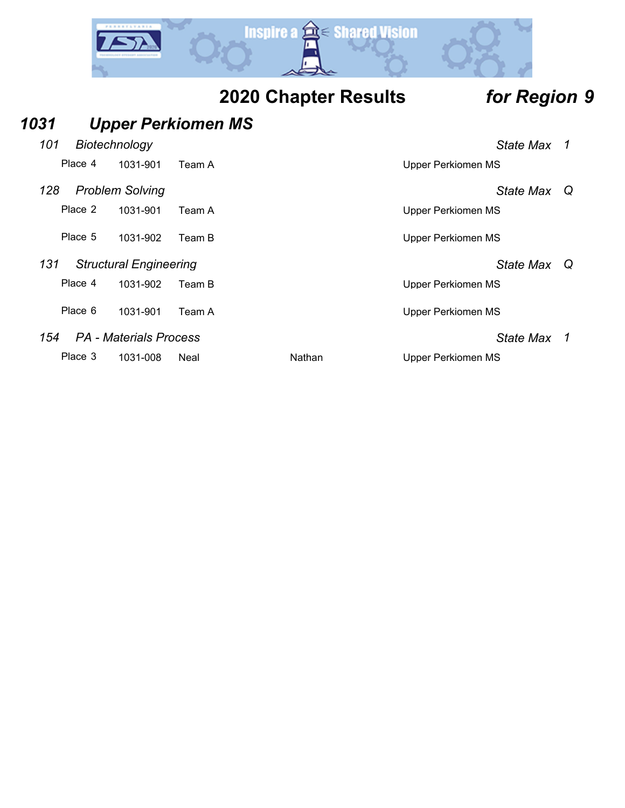

| 1031 |         |                               | <b>Upper Perkiomen MS</b> |        |                           |   |
|------|---------|-------------------------------|---------------------------|--------|---------------------------|---|
| 101  |         | Biotechnology                 |                           |        | State Max 1               |   |
|      | Place 4 | 1031-901                      | Team A                    |        | Upper Perkiomen MS        |   |
| 128  |         | <b>Problem Solving</b>        |                           |        | State Max                 | Q |
|      | Place 2 | 1031-901                      | Team A                    |        | <b>Upper Perkiomen MS</b> |   |
|      | Place 5 | 1031-902                      | Team B                    |        | <b>Upper Perkiomen MS</b> |   |
| 131  |         | <b>Structural Engineering</b> |                           |        | <b>State Max</b>          | Q |
|      | Place 4 | 1031-902                      | Team B                    |        | Upper Perkiomen MS        |   |
|      | Place 6 | 1031-901                      | Team A                    |        | <b>Upper Perkiomen MS</b> |   |
| 154  |         | <b>PA - Materials Process</b> |                           |        | <b>State Max</b>          | 1 |
|      | Place 3 | 1031-008                      | Neal                      | Nathan | Upper Perkiomen MS        |   |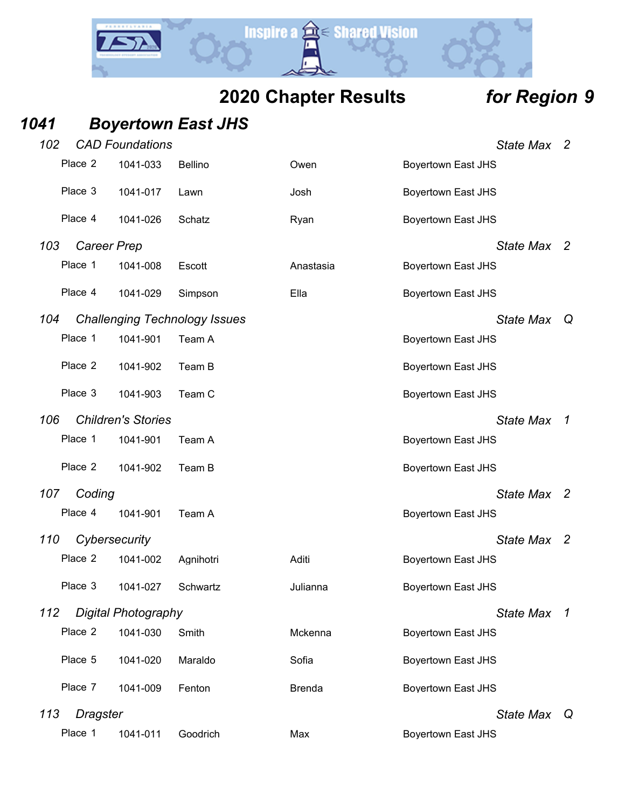# **Inspire a**  $\hat{a}$  **Shared Vision** Y.

# **2020 Chapter Results** *for Region 9*

### *1041 Boyertown East JHS*

| 102     | <b>CAD Foundations</b>               |                |               | <b>State Max</b>          | - 2          |
|---------|--------------------------------------|----------------|---------------|---------------------------|--------------|
| Place 2 | 1041-033                             | <b>Bellino</b> | Owen          | <b>Boyertown East JHS</b> |              |
| Place 3 | 1041-017                             | Lawn           | Josh          | <b>Boyertown East JHS</b> |              |
| Place 4 | 1041-026                             | Schatz         | Ryan          | <b>Boyertown East JHS</b> |              |
| 103     | Career Prep                          |                |               | State Max 2               |              |
| Place 1 | 1041-008                             | Escott         | Anastasia     | <b>Boyertown East JHS</b> |              |
| Place 4 | 1041-029                             | Simpson        | Ella          | <b>Boyertown East JHS</b> |              |
| 104     | <b>Challenging Technology Issues</b> |                |               | <b>State Max</b>          | Q            |
| Place 1 | 1041-901                             | Team A         |               | <b>Boyertown East JHS</b> |              |
| Place 2 | 1041-902                             | Team B         |               | <b>Boyertown East JHS</b> |              |
| Place 3 | 1041-903                             | Team C         |               | <b>Boyertown East JHS</b> |              |
| 106     | <b>Children's Stories</b>            |                |               | <b>State Max</b>          | $\mathcal I$ |
| Place 1 | 1041-901                             | Team A         |               | <b>Boyertown East JHS</b> |              |
| Place 2 | 1041-902                             | Team B         |               | <b>Boyertown East JHS</b> |              |
| 107     | Coding                               |                |               | State Max 2               |              |
| Place 4 | 1041-901                             | Team A         |               | <b>Boyertown East JHS</b> |              |
| 110     | Cybersecurity                        |                |               | <b>State Max</b>          | - 2          |
| Place 2 | 1041-002                             | Agnihotri      | Aditi         | <b>Boyertown East JHS</b> |              |
| Place 3 | 1041-027                             | Schwartz       | Julianna      | <b>Boyertown East JHS</b> |              |
| 112     | Digital Photography                  |                |               | <b>State Max</b>          | 1            |
| Place 2 | 1041-030                             | Smith          | Mckenna       | <b>Boyertown East JHS</b> |              |
| Place 5 | 1041-020                             | Maraldo        | Sofia         | <b>Boyertown East JHS</b> |              |
| Place 7 | 1041-009                             | Fenton         | <b>Brenda</b> | <b>Boyertown East JHS</b> |              |
| 113     | Dragster                             |                |               | State Max Q               |              |
| Place 1 | 1041-011                             | Goodrich       | Max           | <b>Boyertown East JHS</b> |              |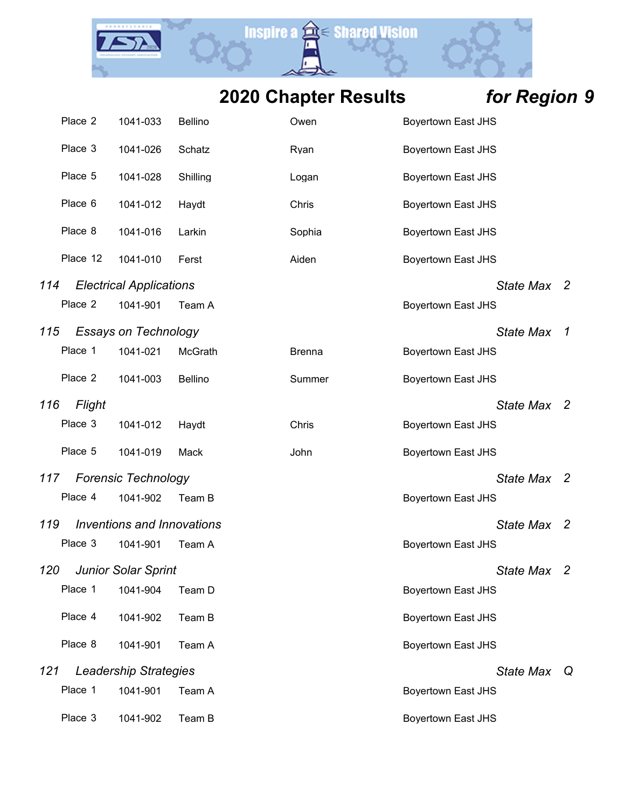Y.

**Inspire a a Shared Vision** 

|     | Place 2  | 1041-033                          | Bellino  | Owen          | <b>Boyertown East JHS</b> |                  |                          |
|-----|----------|-----------------------------------|----------|---------------|---------------------------|------------------|--------------------------|
|     | Place 3  | 1041-026                          | Schatz   | Ryan          | <b>Boyertown East JHS</b> |                  |                          |
|     | Place 5  | 1041-028                          | Shilling | Logan         | <b>Boyertown East JHS</b> |                  |                          |
|     | Place 6  | 1041-012                          | Haydt    | Chris         | <b>Boyertown East JHS</b> |                  |                          |
|     | Place 8  | 1041-016                          | Larkin   | Sophia        | <b>Boyertown East JHS</b> |                  |                          |
|     | Place 12 | 1041-010                          | Ferst    | Aiden         | <b>Boyertown East JHS</b> |                  |                          |
| 114 |          | <b>Electrical Applications</b>    |          |               |                           | State Max 2      |                          |
|     | Place 2  | 1041-901                          | Team A   |               | <b>Boyertown East JHS</b> |                  |                          |
| 115 |          | <b>Essays on Technology</b>       |          |               |                           | <b>State Max</b> | 1                        |
|     | Place 1  | 1041-021                          | McGrath  | <b>Brenna</b> | <b>Boyertown East JHS</b> |                  |                          |
|     | Place 2  | 1041-003                          | Bellino  | Summer        | <b>Boyertown East JHS</b> |                  |                          |
| 116 | Flight   |                                   |          |               |                           | State Max 2      |                          |
|     | Place 3  | 1041-012                          | Haydt    | Chris         | <b>Boyertown East JHS</b> |                  |                          |
|     | Place 5  | 1041-019                          | Mack     | John          | <b>Boyertown East JHS</b> |                  |                          |
| 117 |          | <b>Forensic Technology</b>        |          |               |                           | <b>State Max</b> | -2                       |
|     | Place 4  | 1041-902                          | Team B   |               | <b>Boyertown East JHS</b> |                  |                          |
| 119 |          | <b>Inventions and Innovations</b> |          |               |                           | <b>State Max</b> | $\overline{\phantom{a}}$ |
|     | Place 3  | 1041-901                          | Team A   |               | <b>Boyertown East JHS</b> |                  |                          |
|     |          | 120 Junior Solar Sprint           |          |               |                           | State Max 2      |                          |
|     | Place 1  | 1041-904                          | Team D   |               | Boyertown East JHS        |                  |                          |
|     | Place 4  | 1041-902                          | Team B   |               | <b>Boyertown East JHS</b> |                  |                          |
|     | Place 8  | 1041-901                          | Team A   |               | <b>Boyertown East JHS</b> |                  |                          |
| 121 |          | <b>Leadership Strategies</b>      |          |               |                           | <b>State Max</b> | Q                        |
|     | Place 1  | 1041-901                          | Team A   |               | <b>Boyertown East JHS</b> |                  |                          |
|     | Place 3  | 1041-902                          | Team B   |               | <b>Boyertown East JHS</b> |                  |                          |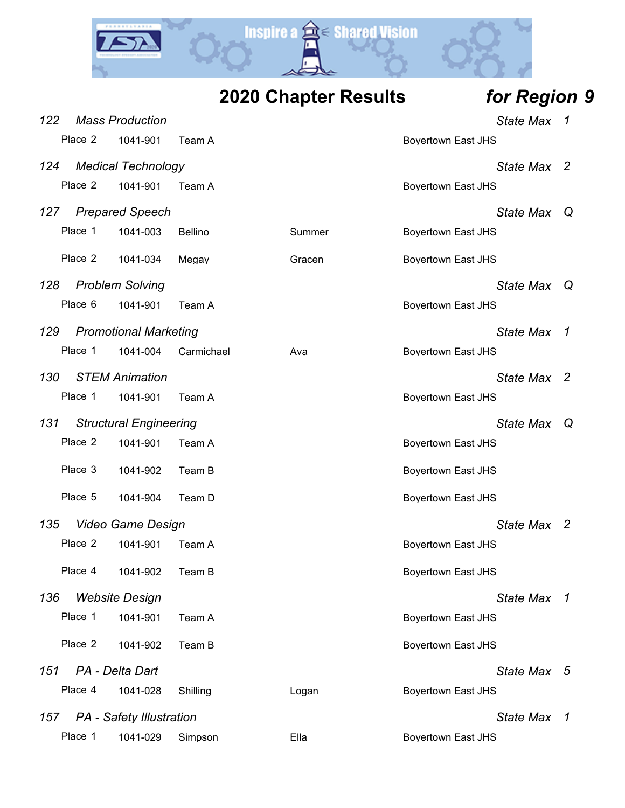

**2020 Chapter Results** *for Region 9*

| 122     | <b>Mass Production</b>          |                |        | <b>State Max</b>          | 1            |
|---------|---------------------------------|----------------|--------|---------------------------|--------------|
| Place 2 | 1041-901                        | Team A         |        | <b>Boyertown East JHS</b> |              |
| 124     | <b>Medical Technology</b>       |                |        | State Max                 | - 2          |
| Place 2 | 1041-901                        | Team A         |        | <b>Boyertown East JHS</b> |              |
| 127     | <b>Prepared Speech</b>          |                |        | <b>State Max</b>          | Q            |
| Place 1 | 1041-003                        | <b>Bellino</b> | Summer | <b>Boyertown East JHS</b> |              |
| Place 2 | 1041-034                        | Megay          | Gracen | <b>Boyertown East JHS</b> |              |
| 128     | <b>Problem Solving</b>          |                |        | State Max                 |              |
| Place 6 | 1041-901                        | Team A         |        | <b>Boyertown East JHS</b> |              |
| 129     | <b>Promotional Marketing</b>    |                |        | <b>State Max</b>          | $\mathcal I$ |
| Place 1 | 1041-004                        | Carmichael     | Ava    | <b>Boyertown East JHS</b> |              |
| 130     | <b>STEM Animation</b>           |                |        | <b>State Max</b>          | 2            |
| Place 1 | 1041-901                        | Team A         |        | <b>Boyertown East JHS</b> |              |
| 131     | <b>Structural Engineering</b>   |                |        | <b>State Max</b>          | Q            |
| Place 2 | 1041-901                        | Team A         |        | <b>Boyertown East JHS</b> |              |
| Place 3 | 1041-902                        | Team B         |        | <b>Boyertown East JHS</b> |              |
| Place 5 | 1041-904                        | Team D         |        | <b>Boyertown East JHS</b> |              |
| 135     | <b>Video Game Design</b>        |                |        | State Max 2               |              |
| Place 2 | 1041-901                        | Team A         |        | <b>Boyertown East JHS</b> |              |
| Place 4 | 1041-902                        | Team B         |        | <b>Boyertown East JHS</b> |              |
| 136     | <b>Website Design</b>           |                |        | State Max 1               |              |
| Place 1 | 1041-901                        | Team A         |        | <b>Boyertown East JHS</b> |              |
| Place 2 | 1041-902                        | Team B         |        | <b>Boyertown East JHS</b> |              |
| 151     | PA - Delta Dart                 |                |        | State Max 5               |              |
| Place 4 | 1041-028                        | Shilling       | Logan  | <b>Boyertown East JHS</b> |              |
| 157     | <b>PA</b> - Safety Illustration |                |        | State Max 1               |              |
| Place 1 | 1041-029                        | Simpson        | Ella   | <b>Boyertown East JHS</b> |              |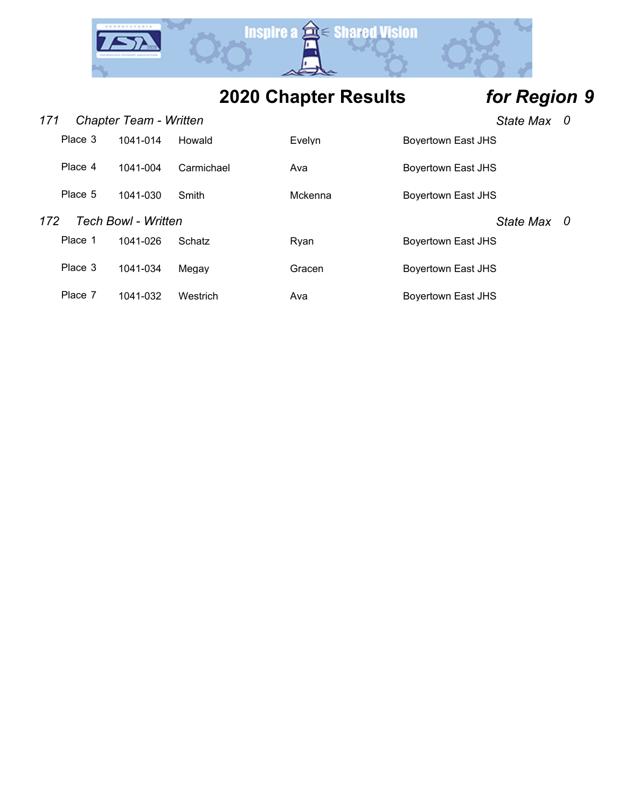

| 171 |                                   | Chapter Team - Written |            |         | - 0<br><b>State Max</b> |                  |     |
|-----|-----------------------------------|------------------------|------------|---------|-------------------------|------------------|-----|
|     | Place 3                           | 1041-014               | Howald     | Evelvn  | Bovertown East JHS      |                  |     |
|     | Place 4                           | 1041-004               | Carmichael | Ava     | Boyertown East JHS      |                  |     |
|     | Place 5                           | 1041-030               | Smith      | Mckenna | Boyertown East JHS      |                  |     |
|     | <b>Tech Bowl - Written</b><br>172 |                        |            |         |                         | <b>State Max</b> | - 0 |
|     | Place 1                           | 1041-026               | Schatz     | Rvan    | Boyertown East JHS      |                  |     |
|     | Place 3                           | 1041-034               | Megay      | Gracen  | Bovertown East JHS      |                  |     |
|     | Place 7                           | 1041-032               | Westrich   | Ava     | Boyertown East JHS      |                  |     |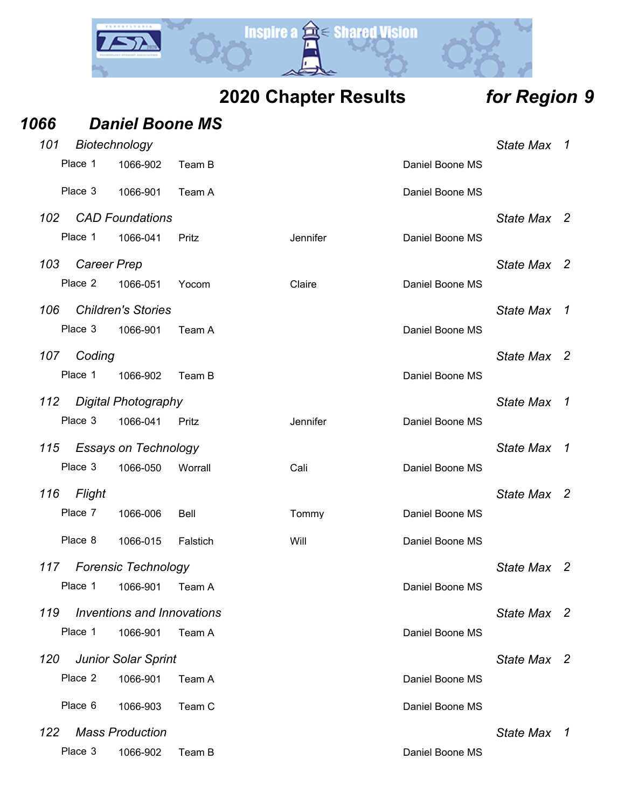

| 1066 |                    | <b>Daniel Boone MS</b>            |          |          |                 |                  |                            |
|------|--------------------|-----------------------------------|----------|----------|-----------------|------------------|----------------------------|
| 101  | Biotechnology      |                                   |          |          |                 | State Max 1      |                            |
|      | Place 1            | 1066-902                          | Team B   |          | Daniel Boone MS |                  |                            |
|      | Place 3            | 1066-901                          | Team A   |          | Daniel Boone MS |                  |                            |
| 102  |                    | <b>CAD Foundations</b>            |          |          |                 | State Max 2      |                            |
|      | Place 1            | 1066-041                          | Pritz    | Jennifer | Daniel Boone MS |                  |                            |
| 103  | <b>Career Prep</b> |                                   |          |          |                 | State Max        | $\overline{\phantom{a}}^2$ |
|      | Place 2            | 1066-051                          | Yocom    | Claire   | Daniel Boone MS |                  |                            |
| 106  |                    | <b>Children's Stories</b>         |          |          |                 | <b>State Max</b> | $\overline{1}$             |
|      | Place 3            | 1066-901                          | Team A   |          | Daniel Boone MS |                  |                            |
| 107  | Coding             |                                   |          |          |                 | State Max 2      |                            |
|      | Place 1            | 1066-902                          | Team B   |          | Daniel Boone MS |                  |                            |
| 112  |                    | <b>Digital Photography</b>        |          |          |                 | State Max        | $\overline{1}$             |
|      | Place 3            | 1066-041                          | Pritz    | Jennifer | Daniel Boone MS |                  |                            |
| 115  |                    | <b>Essays on Technology</b>       |          |          |                 | <b>State Max</b> | $\overline{1}$             |
|      | Place 3            | 1066-050                          | Worrall  | Cali     | Daniel Boone MS |                  |                            |
| 116  | Flight             |                                   |          |          |                 | State Max 2      |                            |
|      | Place 7            | 1066-006                          | Bell     | Tommy    | Daniel Boone MS |                  |                            |
|      | Place 8            | 1066-015                          | Falstich | Will     | Daniel Boone MS |                  |                            |
| 117  |                    | <b>Forensic Technology</b>        |          |          |                 | State Max 2      |                            |
|      | Place 1            | 1066-901                          | Team A   |          | Daniel Boone MS |                  |                            |
| 119  |                    | <b>Inventions and Innovations</b> |          |          |                 | <b>State Max</b> | $\overline{\phantom{a}}$   |
|      | Place 1            | 1066-901                          | Team A   |          | Daniel Boone MS |                  |                            |
| 120  |                    | <b>Junior Solar Sprint</b>        |          |          |                 | State Max 2      |                            |
|      | Place 2            | 1066-901                          | Team A   |          | Daniel Boone MS |                  |                            |
|      | Place 6            | 1066-903                          | Team C   |          | Daniel Boone MS |                  |                            |
| 122  |                    | <b>Mass Production</b>            |          |          |                 | State Max        | $\overline{1}$             |
|      | Place 3            | 1066-902                          | Team B   |          | Daniel Boone MS |                  |                            |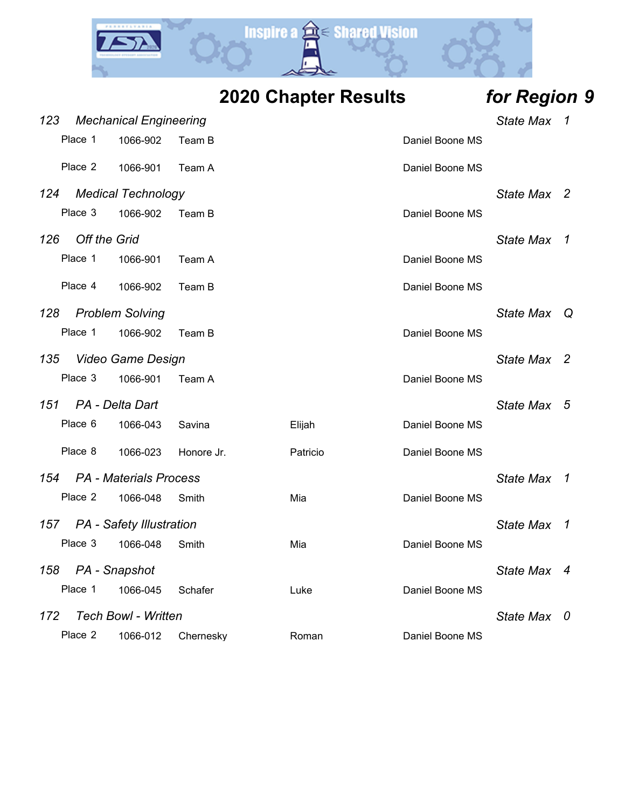

**2020 Chapter Results** *for Region 9*

| 123 |                     | <b>Mechanical Engineering</b> |            | <b>State Max</b> | 1               |                  |                |
|-----|---------------------|-------------------------------|------------|------------------|-----------------|------------------|----------------|
|     | Place 1             | 1066-902                      | Team B     |                  | Daniel Boone MS |                  |                |
|     | Place 2             | 1066-901                      | Team A     |                  | Daniel Boone MS |                  |                |
| 124 |                     | <b>Medical Technology</b>     |            |                  |                 | <b>State Max</b> | $\overline{2}$ |
|     | Place 3             | 1066-902                      | Team B     |                  | Daniel Boone MS |                  |                |
| 126 | <b>Off the Grid</b> |                               |            |                  |                 | <b>State Max</b> | 1              |
|     | Place 1             | 1066-901                      | Team A     |                  | Daniel Boone MS |                  |                |
|     | Place 4             | 1066-902                      | Team B     |                  | Daniel Boone MS |                  |                |
| 128 |                     | <b>Problem Solving</b>        |            |                  |                 | State Max Q      |                |
|     | Place 1             | 1066-902                      | Team B     |                  | Daniel Boone MS |                  |                |
| 135 |                     | <b>Video Game Design</b>      |            |                  |                 | State Max 2      |                |
|     | Place 3             | 1066-901                      | Team A     |                  | Daniel Boone MS |                  |                |
| 151 |                     | PA - Delta Dart               |            |                  |                 | State Max 5      |                |
|     | Place 6             | 1066-043                      | Savina     | Elijah           | Daniel Boone MS |                  |                |
|     | Place 8             | 1066-023                      | Honore Jr. | Patricio         | Daniel Boone MS |                  |                |
|     |                     | 154 PA - Materials Process    |            |                  |                 | <b>State Max</b> | $\mathcal I$   |
|     | Place 2             | 1066-048                      | Smith      | Mia              | Daniel Boone MS |                  |                |
|     |                     | 157 PA - Safety Illustration  |            |                  |                 | <b>State Max</b> | 1              |
|     | Place 3             | 1066-048                      | Smith      | Mia              | Daniel Boone MS |                  |                |
| 158 |                     | PA - Snapshot                 |            |                  |                 | <b>State Max</b> | $\overline{4}$ |
|     | Place 1             | 1066-045                      | Schafer    | Luke             | Daniel Boone MS |                  |                |
| 172 |                     | <b>Tech Bowl - Written</b>    |            |                  |                 | <b>State Max</b> | 0              |
|     | Place 2             | 1066-012                      | Chernesky  | Roman            | Daniel Boone MS |                  |                |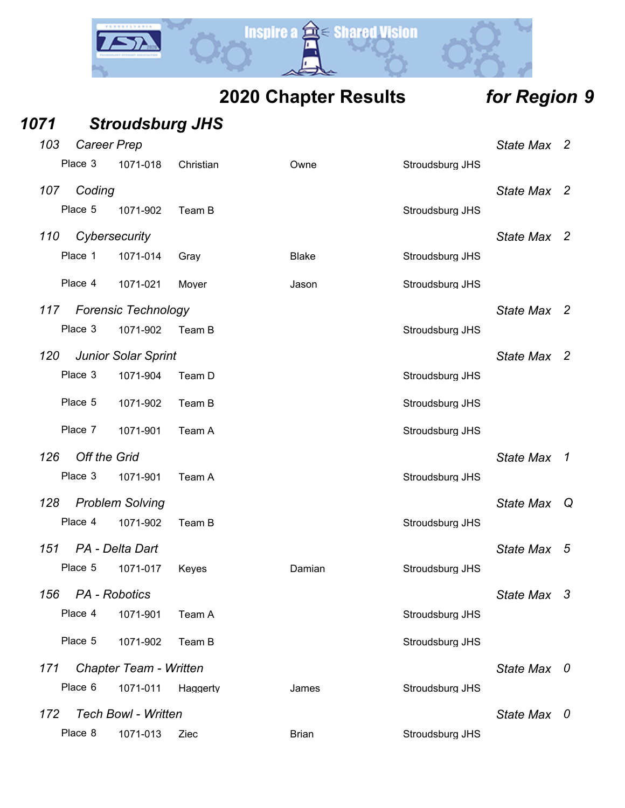

| 1071 |                     | <b>Stroudsburg JHS</b>        |           |              |                 |                  |                |
|------|---------------------|-------------------------------|-----------|--------------|-----------------|------------------|----------------|
| 103  | <b>Career Prep</b>  |                               |           |              |                 | State Max 2      |                |
|      | Place 3             | 1071-018                      | Christian | Owne         | Stroudsburg JHS |                  |                |
| 107  | Coding              |                               |           |              |                 | <b>State Max</b> | - 2            |
|      | Place 5             | 1071-902                      | Team B    |              | Stroudsburg JHS |                  |                |
| 110  | Cybersecurity       |                               |           |              |                 | State Max 2      |                |
|      | Place 1             | 1071-014                      | Gray      | <b>Blake</b> | Stroudsburg JHS |                  |                |
|      | Place 4             | 1071-021                      | Moyer     | Jason        | Stroudsburg JHS |                  |                |
| 117  |                     | <b>Forensic Technology</b>    |           |              |                 | State Max 2      |                |
|      | Place 3             | 1071-902                      | Team B    |              | Stroudsburg JHS |                  |                |
| 120  |                     | <b>Junior Solar Sprint</b>    |           |              |                 | <b>State Max</b> | $\overline{2}$ |
|      | Place 3             | 1071-904                      | Team D    |              | Stroudsburg JHS |                  |                |
|      | Place 5             | 1071-902                      | Team B    |              | Stroudsburg JHS |                  |                |
|      | Place 7             | 1071-901                      | Team A    |              | Stroudsburg JHS |                  |                |
| 126  | <b>Off the Grid</b> |                               |           |              |                 | <b>State Max</b> | $\overline{1}$ |
|      | Place 3             | 1071-901                      | Team A    |              | Stroudsburg JHS |                  |                |
| 128  |                     | <b>Problem Solving</b>        |           |              |                 | <b>State Max</b> | Q              |
|      | Place 4             | 1071-902                      | Team B    |              | Stroudsburg JHS |                  |                |
| 151  | PA - Delta Dart     |                               |           |              |                 | <b>State Max</b> | 5              |
|      | Place 5             | 1071-017                      | Keyes     | Damian       | Stroudsburg JHS |                  |                |
| 156  | PA - Robotics       |                               |           |              |                 | State Max 3      |                |
|      | Place 4             | 1071-901                      | Team A    |              | Stroudsburg JHS |                  |                |
|      | Place 5             | 1071-902                      | Team B    |              | Stroudsburg JHS |                  |                |
| 171  |                     | <b>Chapter Team - Written</b> |           |              |                 | State Max 0      |                |
|      | Place 6             | 1071-011                      | Haggerty  | James        | Stroudsburg JHS |                  |                |
| 172  |                     | <b>Tech Bowl - Written</b>    |           |              |                 | State Max 0      |                |
|      | Place 8             | 1071-013                      | Ziec      | <b>Brian</b> | Stroudsburg JHS |                  |                |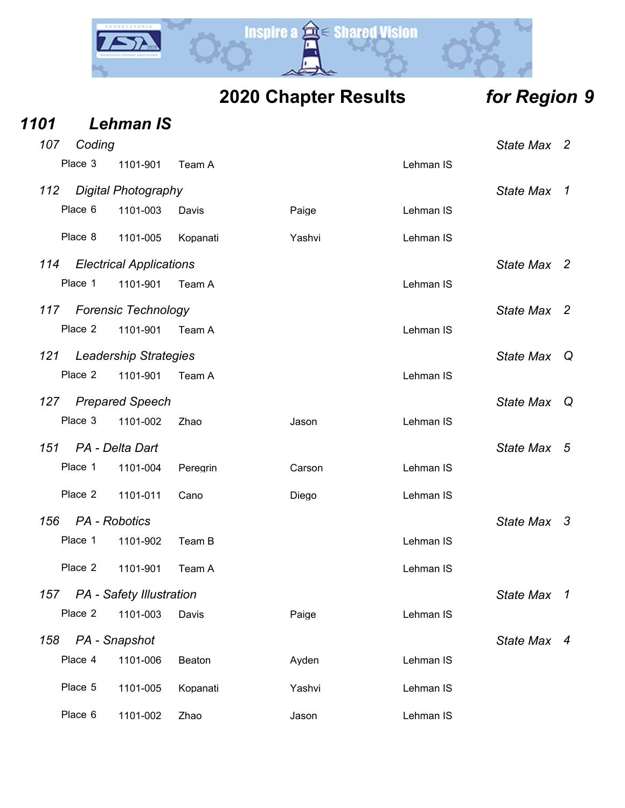

|      |         |                                 |          | <b>2020 Chapter Results</b> |           |                  | for Region 9             |
|------|---------|---------------------------------|----------|-----------------------------|-----------|------------------|--------------------------|
| 1101 |         | <b>Lehman IS</b>                |          |                             |           |                  |                          |
| 107  | Coding  |                                 |          |                             |           | State Max 2      |                          |
|      | Place 3 | 1101-901                        | Team A   |                             | Lehman IS |                  |                          |
| 112  |         | <b>Digital Photography</b>      |          |                             |           | <b>State Max</b> | $\mathcal I$             |
|      | Place 6 | 1101-003                        | Davis    | Paige                       | Lehman IS |                  |                          |
|      | Place 8 | 1101-005                        | Kopanati | Yashvi                      | Lehman IS |                  |                          |
| 114  |         | <b>Electrical Applications</b>  |          |                             |           | State Max 2      |                          |
|      | Place 1 | 1101-901                        | Team A   |                             | Lehman IS |                  |                          |
| 117  |         | <b>Forensic Technology</b>      |          |                             |           | <b>State Max</b> | $\overline{\phantom{a}}$ |
|      | Place 2 | 1101-901                        | Team A   |                             | Lehman IS |                  |                          |
| 121  |         | <b>Leadership Strategies</b>    |          |                             |           | <b>State Max</b> | Q                        |
|      | Place 2 | 1101-901                        | Team A   |                             | Lehman IS |                  |                          |
| 127  |         | <b>Prepared Speech</b>          |          |                             |           | <b>State Max</b> | Q                        |
|      | Place 3 | 1101-002                        | Zhao     | Jason                       | Lehman IS |                  |                          |
| 151  |         | PA - Delta Dart                 |          |                             |           | <b>State Max</b> | 5                        |
|      | Place 1 | 1101-004                        | Peregrin | Carson                      | Lehman IS |                  |                          |
|      | Place 2 | 1101-011                        | Cano     | Diego                       | Lehman IS |                  |                          |
| 156  |         | PA - Robotics                   |          |                             |           | <b>State Max</b> | 3                        |
|      | Place 1 | 1101-902                        | Team B   |                             | Lehman IS |                  |                          |
|      | Place 2 | 1101-901                        | Team A   |                             | Lehman IS |                  |                          |
| 157  |         | <b>PA</b> - Safety Illustration |          |                             |           | State Max 1      |                          |
|      | Place 2 | 1101-003                        | Davis    | Paige                       | Lehman IS |                  |                          |
| 158  |         | PA - Snapshot                   |          |                             |           | State Max 4      |                          |
|      | Place 4 | 1101-006                        | Beaton   | Ayden                       | Lehman IS |                  |                          |
|      | Place 5 | 1101-005                        | Kopanati | Yashvi                      | Lehman IS |                  |                          |
|      |         |                                 |          |                             |           |                  |                          |

Place 6 1101-002 Zhao Jason Jason Lehman IS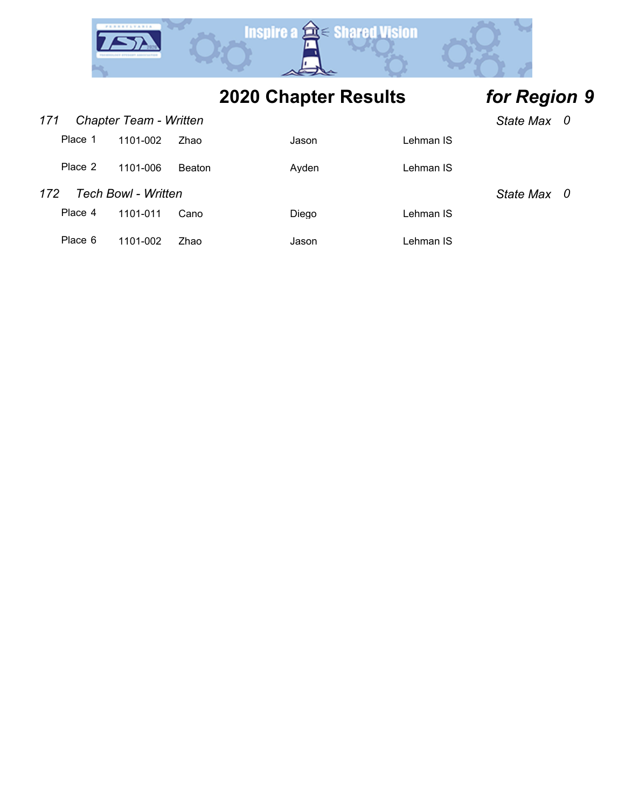

*171 Chapter Team - Written State Max 0*

|                                   | $\cdots$ $\cdots$ $\cdots$ |               |       |           | UNIV MA V |  |
|-----------------------------------|----------------------------|---------------|-------|-----------|-----------|--|
| Place 1                           | 1101-002                   | Zhao          | Jason | Lehman IS |           |  |
| Place 2                           | 1101-006                   | <b>Beaton</b> | Ayden | Lehman IS |           |  |
| <b>Tech Bowl - Written</b><br>172 | State Max 0                |               |       |           |           |  |
| Place 4                           | 1101-011                   | Cano          | Diego | Lehman IS |           |  |
| Place 6                           | 1101-002                   | Zhao          | Jason | Lehman IS |           |  |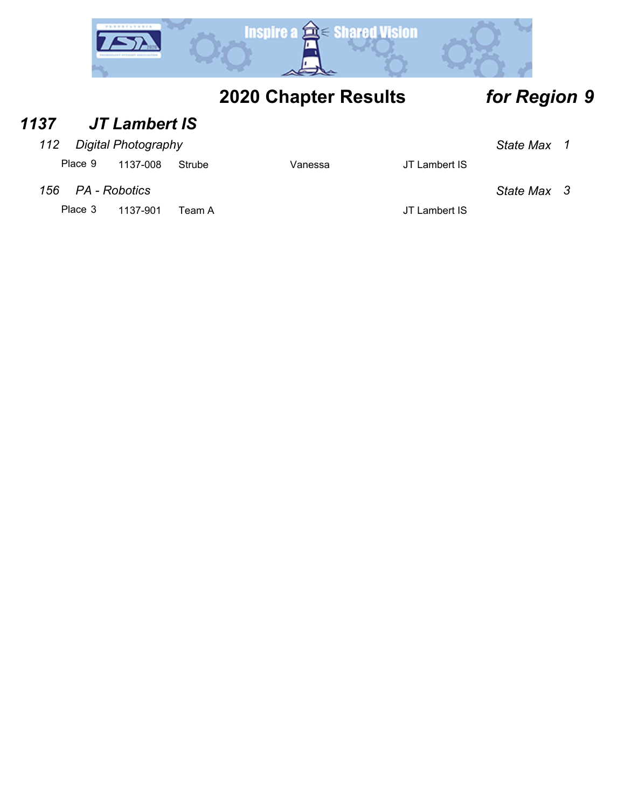

### *1137 JT Lambert IS*

### *112 Digital Photography State Max 1*

Place 9 1137-008 Strube Vanessa JT Lambert IS

*156 PA - Robotics State Max 3*

Place 3 1137-901 Team A JT Lambert IS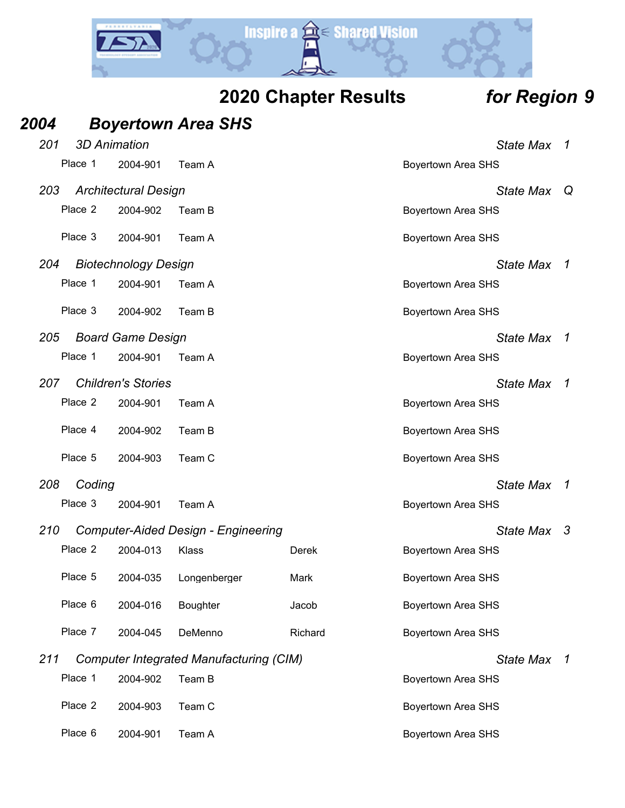

|  | 2020 Chapter Results |  |
|--|----------------------|--|
|--|----------------------|--|

# *Region* **9**

| 2004 |         |                             | <b>Boyertown Area SHS</b>                      |         |                           |                |
|------|---------|-----------------------------|------------------------------------------------|---------|---------------------------|----------------|
| 201  |         | <b>3D Animation</b>         |                                                |         | <b>State Max</b>          | 1              |
|      | Place 1 | 2004-901                    | Team A                                         |         | <b>Boyertown Area SHS</b> |                |
| 203  |         | <b>Architectural Design</b> |                                                |         | <b>State Max</b>          | Q              |
|      | Place 2 | 2004-902                    | Team B                                         |         | <b>Boyertown Area SHS</b> |                |
|      | Place 3 | 2004-901                    | Team A                                         |         | <b>Boyertown Area SHS</b> |                |
| 204  |         | <b>Biotechnology Design</b> |                                                |         | <b>State Max</b>          | $\overline{1}$ |
|      | Place 1 | 2004-901                    | Team A                                         |         | <b>Boyertown Area SHS</b> |                |
|      | Place 3 | 2004-902                    | Team B                                         |         | <b>Boyertown Area SHS</b> |                |
| 205  |         | <b>Board Game Design</b>    |                                                |         | <b>State Max</b>          | 1              |
|      | Place 1 | 2004-901                    | Team A                                         |         | <b>Boyertown Area SHS</b> |                |
| 207  |         | <b>Children's Stories</b>   |                                                |         | <b>State Max</b>          | 1              |
|      | Place 2 | 2004-901                    | Team A                                         |         | <b>Boyertown Area SHS</b> |                |
|      | Place 4 | 2004-902                    | Team B                                         |         | <b>Boyertown Area SHS</b> |                |
|      | Place 5 | 2004-903                    | Team C                                         |         | <b>Boyertown Area SHS</b> |                |
| 208  | Coding  |                             |                                                |         | <b>State Max</b>          | 1              |
|      | Place 3 | 2004-901                    | Team A                                         |         | <b>Boyertown Area SHS</b> |                |
| 210  |         |                             | <b>Computer-Aided Design - Engineering</b>     |         | State Max                 | -3             |
|      | Place 2 | 2004-013                    | Klass                                          | Derek   | <b>Boyertown Area SHS</b> |                |
|      | Place 5 | 2004-035                    | Longenberger                                   | Mark    | <b>Boyertown Area SHS</b> |                |
|      | Place 6 | 2004-016                    | <b>Boughter</b>                                | Jacob   | <b>Boyertown Area SHS</b> |                |
|      | Place 7 | 2004-045                    | DeMenno                                        | Richard | <b>Boyertown Area SHS</b> |                |
| 211  |         |                             | <b>Computer Integrated Manufacturing (CIM)</b> |         | <b>State Max</b>          | 1              |
|      | Place 1 | 2004-902                    | Team B                                         |         | <b>Boyertown Area SHS</b> |                |
|      | Place 2 | 2004-903                    | Team C                                         |         | <b>Boyertown Area SHS</b> |                |
|      | Place 6 | 2004-901                    | Team A                                         |         | <b>Boyertown Area SHS</b> |                |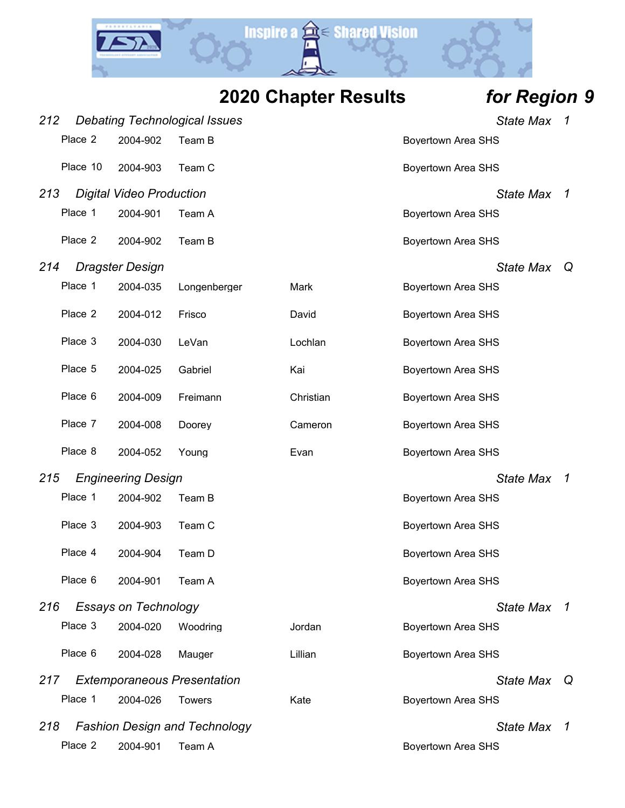**Inspire a**  $\hat{a}$  **Shared Vision** 

| 212 |          |                                 | <b>Debating Technological Issues</b> |           |                           | <b>State Max</b> | 1 |
|-----|----------|---------------------------------|--------------------------------------|-----------|---------------------------|------------------|---|
|     | Place 2  | 2004-902                        | Team B                               |           | <b>Boyertown Area SHS</b> |                  |   |
|     | Place 10 | 2004-903                        | Team C                               |           | <b>Boyertown Area SHS</b> |                  |   |
| 213 |          | <b>Digital Video Production</b> |                                      |           |                           | <b>State Max</b> | 1 |
|     | Place 1  | 2004-901                        | Team A                               |           | <b>Boyertown Area SHS</b> |                  |   |
|     | Place 2  | 2004-902                        | Team B                               |           | Boyertown Area SHS        |                  |   |
| 214 |          | <b>Dragster Design</b>          |                                      |           |                           | <b>State Max</b> | Q |
|     | Place 1  | 2004-035                        | Longenberger                         | Mark      | Boyertown Area SHS        |                  |   |
|     | Place 2  | 2004-012                        | Frisco                               | David     | <b>Boyertown Area SHS</b> |                  |   |
|     | Place 3  | 2004-030                        | LeVan                                | Lochlan   | <b>Boyertown Area SHS</b> |                  |   |
|     | Place 5  | 2004-025                        | Gabriel                              | Kai       | Boyertown Area SHS        |                  |   |
|     | Place 6  | 2004-009                        | Freimann                             | Christian | <b>Boyertown Area SHS</b> |                  |   |
|     | Place 7  | 2004-008                        | Doorey                               | Cameron   | <b>Boyertown Area SHS</b> |                  |   |
|     | Place 8  | 2004-052                        | Young                                | Evan      | <b>Boyertown Area SHS</b> |                  |   |
| 215 |          | <b>Engineering Design</b>       |                                      |           |                           | <b>State Max</b> | 1 |
|     | Place 1  | 2004-902                        | Team B                               |           | Boyertown Area SHS        |                  |   |
|     | Place 3  | 2004-903                        | Team C                               |           | <b>Boyertown Area SHS</b> |                  |   |
|     | Place 4  | 2004-904                        | Team D                               |           | Boyertown Area SHS        |                  |   |
|     | Place 6  | 2004-901                        | Team A                               |           | <b>Boyertown Area SHS</b> |                  |   |
| 216 |          | <b>Essays on Technology</b>     |                                      |           |                           | State Max 1      |   |
|     | Place 3  | 2004-020                        | Woodring                             | Jordan    | <b>Boyertown Area SHS</b> |                  |   |
|     | Place 6  | 2004-028                        | Mauger                               | Lillian   | <b>Bovertown Area SHS</b> |                  |   |
| 217 |          |                                 | <b>Extemporaneous Presentation</b>   |           |                           | <b>State Max</b> | Q |
|     | Place 1  | 2004-026                        | <b>Towers</b>                        | Kate      | <b>Boyertown Area SHS</b> |                  |   |
| 218 |          |                                 | <b>Fashion Design and Technology</b> |           |                           | <b>State Max</b> | 7 |
|     | Place 2  | 2004-901                        | Team A                               |           | Boyertown Area SHS        |                  |   |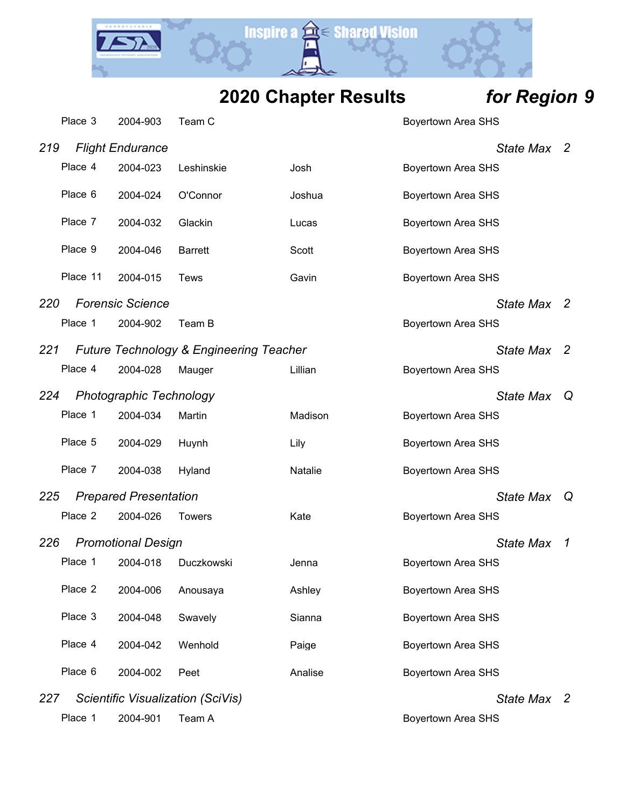Y.

**Inspire a a Shared Vision** 

|     | Place 3  | 2004-903                       | Team C                                  |         | <b>Boyertown Area SHS</b> |    |
|-----|----------|--------------------------------|-----------------------------------------|---------|---------------------------|----|
| 219 |          | <b>Flight Endurance</b>        |                                         |         | State Max 2               |    |
|     | Place 4  | 2004-023                       | Leshinskie                              | Josh    | Boyertown Area SHS        |    |
|     | Place 6  | 2004-024                       | O'Connor                                | Joshua  | Boyertown Area SHS        |    |
|     | Place 7  | 2004-032                       | Glackin                                 | Lucas   | Boyertown Area SHS        |    |
|     | Place 9  | 2004-046                       | <b>Barrett</b>                          | Scott   | Boyertown Area SHS        |    |
|     | Place 11 | 2004-015                       | <b>Tews</b>                             | Gavin   | <b>Boyertown Area SHS</b> |    |
| 220 |          | <b>Forensic Science</b>        |                                         |         | <b>State Max</b>          | -2 |
|     | Place 1  | 2004-902                       | Team B                                  |         | Boyertown Area SHS        |    |
| 221 |          |                                | Future Technology & Engineering Teacher |         | <b>State Max</b>          | -2 |
|     | Place 4  | 2004-028                       | Mauger                                  | Lillian | <b>Boyertown Area SHS</b> |    |
| 224 |          | <b>Photographic Technology</b> |                                         |         | <b>State Max</b>          | Q  |
|     | Place 1  | 2004-034                       | Martin                                  | Madison | Boyertown Area SHS        |    |
|     | Place 5  | 2004-029                       | Huynh                                   | Lily    | Boyertown Area SHS        |    |
|     | Place 7  | 2004-038                       | Hyland                                  | Natalie | <b>Boyertown Area SHS</b> |    |
| 225 |          | <b>Prepared Presentation</b>   |                                         |         | <b>State Max</b>          | Q  |
|     | Place 2  | 2004-026                       | <b>Towers</b>                           | Kate    | Boyertown Area SHS        |    |
| 226 |          | <b>Promotional Design</b>      |                                         |         | <b>State Max</b>          | 1  |
|     | Place 1  | 2004-018                       | Duczkowski                              | Jenna   | Boyertown Area SHS        |    |
|     | Place 2  | 2004-006                       | Anousaya                                | Ashley  | <b>Boyertown Area SHS</b> |    |
|     | Place 3  | 2004-048                       | Swavely                                 | Sianna  | <b>Boyertown Area SHS</b> |    |
|     | Place 4  | 2004-042                       | Wenhold                                 | Paige   | Boyertown Area SHS        |    |
|     | Place 6  | 2004-002                       | Peet                                    | Analise | Boyertown Area SHS        |    |
| 227 |          |                                | Scientific Visualization (SciVis)       |         | State Max 2               |    |
|     | Place 1  | 2004-901                       | Team A                                  |         | <b>Boyertown Area SHS</b> |    |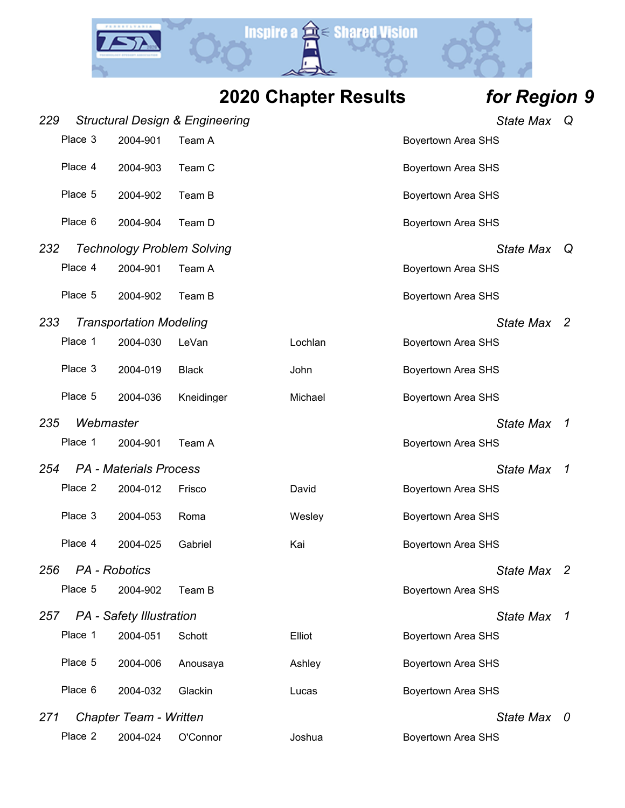

| <b>2020 Chapter Results</b> | for Region 9 |
|-----------------------------|--------------|
|-----------------------------|--------------|

| 229 |           |                                 | <b>Structural Design &amp; Engineering</b> |         | <b>State Max</b>          | Q              |
|-----|-----------|---------------------------------|--------------------------------------------|---------|---------------------------|----------------|
|     | Place 3   | 2004-901                        | Team A                                     |         | <b>Boyertown Area SHS</b> |                |
|     | Place 4   | 2004-903                        | Team C                                     |         | <b>Boyertown Area SHS</b> |                |
|     | Place 5   | 2004-902                        | Team B                                     |         | <b>Boyertown Area SHS</b> |                |
|     | Place 6   | 2004-904                        | Team D                                     |         | <b>Boyertown Area SHS</b> |                |
| 232 |           |                                 | <b>Technology Problem Solving</b>          |         | <b>State Max</b>          | Q              |
|     | Place 4   | 2004-901                        | Team A                                     |         | <b>Boyertown Area SHS</b> |                |
|     | Place 5   | 2004-902                        | Team B                                     |         | <b>Boyertown Area SHS</b> |                |
| 233 |           | <b>Transportation Modeling</b>  |                                            |         | State Max 2               |                |
|     | Place 1   | 2004-030                        | LeVan                                      | Lochlan | <b>Boyertown Area SHS</b> |                |
|     | Place 3   | 2004-019                        | <b>Black</b>                               | John    | <b>Boyertown Area SHS</b> |                |
|     | Place 5   | 2004-036                        | Kneidinger                                 | Michael | <b>Boyertown Area SHS</b> |                |
| 235 | Webmaster |                                 |                                            |         | <b>State Max</b>          | 1              |
|     | Place 1   | 2004-901                        | Team A                                     |         | <b>Boyertown Area SHS</b> |                |
| 254 |           | <b>PA</b> - Materials Process   |                                            |         | <b>State Max</b>          | 1              |
|     | Place 2   | 2004-012                        | Frisco                                     | David   | <b>Boyertown Area SHS</b> |                |
|     | Place 3   | 2004-053                        | Roma                                       | Wesley  | <b>Boyertown Area SHS</b> |                |
|     | Place 4   | 2004-025                        | Gabriel                                    | Kai     | <b>Boyertown Area SHS</b> |                |
| 256 |           | PA - Robotics                   |                                            |         | State Max 2               |                |
|     | Place 5   | 2004-902                        | Team B                                     |         | <b>Boyertown Area SHS</b> |                |
| 257 |           | <b>PA</b> - Safety Illustration |                                            |         | <b>State Max</b>          | $\overline{1}$ |
|     | Place 1   | 2004-051                        | Schott                                     | Elliot  | <b>Boyertown Area SHS</b> |                |
|     | Place 5   | 2004-006                        | Anousaya                                   | Ashley  | <b>Boyertown Area SHS</b> |                |
|     | Place 6   | 2004-032                        | Glackin                                    | Lucas   | <b>Boyertown Area SHS</b> |                |
| 271 |           | Chapter Team - Written          |                                            |         | State Max 0               |                |
|     | Place 2   | 2004-024                        | O'Connor                                   | Joshua  | Boyertown Area SHS        |                |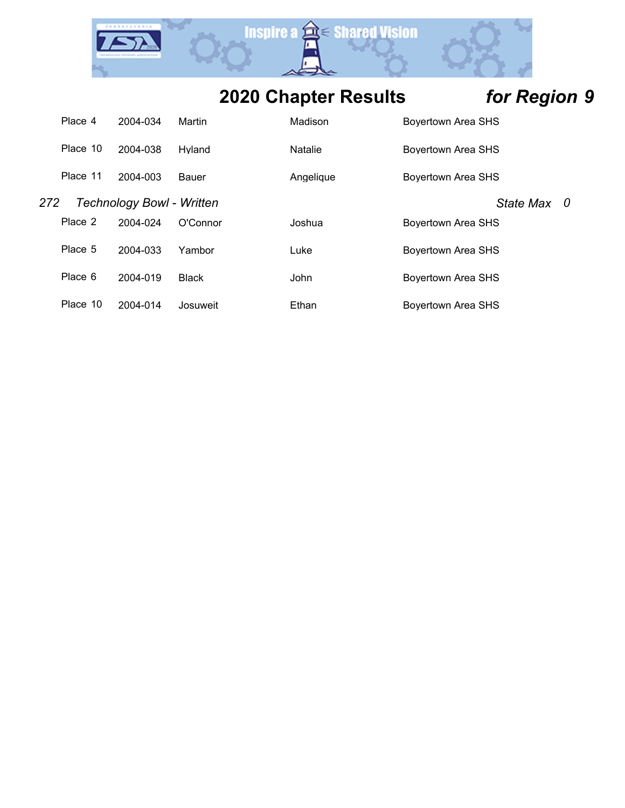

|     | Place 4  | 2004-034                         | Martin       | Madison   | <b>Boyertown Area SHS</b> |
|-----|----------|----------------------------------|--------------|-----------|---------------------------|
|     | Place 10 | 2004-038                         | Hvland       | Natalie   | Boyertown Area SHS        |
|     | Place 11 | 2004-003                         | Bauer        | Angelique | Boyertown Area SHS        |
| 272 |          | <b>Technology Bowl - Written</b> |              |           | <b>State Max</b><br>- 0   |
|     | Place 2  | 2004-024                         | O'Connor     | Joshua    | Boyertown Area SHS        |
|     | Place 5  | 2004-033                         | Yambor       | Luke      | Bovertown Area SHS        |
|     | Place 6  | 2004-019                         | <b>Black</b> | John      | Bovertown Area SHS        |
|     | Place 10 | 2004-014                         | Josuweit     | Ethan     | Boyertown Area SHS        |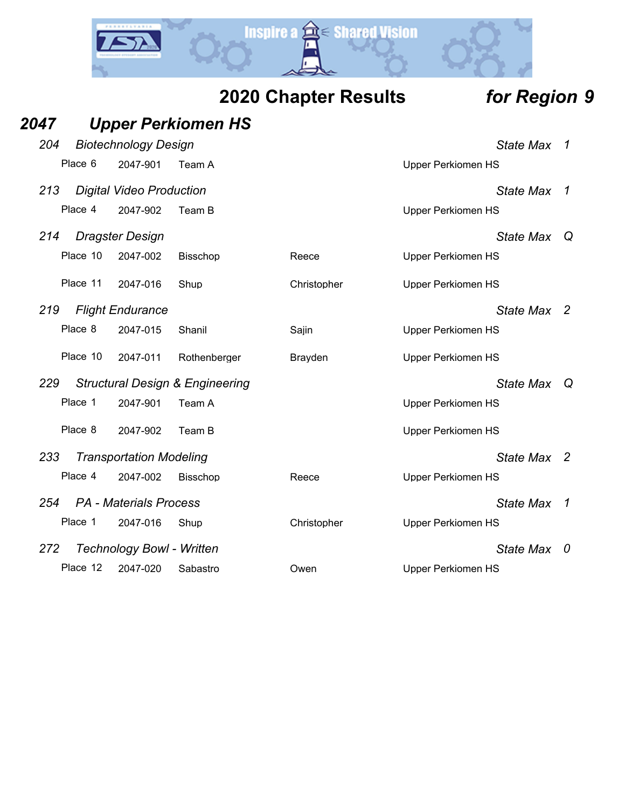

|      |          |                                 |                                            | <b>2020 Chapter Results</b> |                           | for Region 9     |             |
|------|----------|---------------------------------|--------------------------------------------|-----------------------------|---------------------------|------------------|-------------|
| 2047 |          |                                 | <b>Upper Perkiomen HS</b>                  |                             |                           |                  |             |
| 204  |          | <b>Biotechnology Design</b>     |                                            |                             |                           | <b>State Max</b> | 1           |
|      | Place 6  | 2047-901                        | Team A                                     |                             | <b>Upper Perkiomen HS</b> |                  |             |
| 213  |          | <b>Digital Video Production</b> |                                            |                             |                           | <b>State Max</b> | 1           |
|      | Place 4  | 2047-902                        | Team B                                     |                             | <b>Upper Perkiomen HS</b> |                  |             |
| 214  |          | Dragster Design                 |                                            |                             |                           | <b>State Max</b> | $\mathsf Q$ |
|      | Place 10 | 2047-002                        | <b>Bisschop</b>                            | Reece                       | <b>Upper Perkiomen HS</b> |                  |             |
|      | Place 11 | 2047-016                        | Shup                                       | Christopher                 | <b>Upper Perkiomen HS</b> |                  |             |
| 219  |          | <b>Flight Endurance</b>         |                                            |                             |                           | State Max 2      |             |
|      | Place 8  | 2047-015                        | Shanil                                     | Sajin                       | <b>Upper Perkiomen HS</b> |                  |             |
|      | Place 10 | 2047-011                        | Rothenberger                               | Brayden                     | <b>Upper Perkiomen HS</b> |                  |             |
| 229  |          |                                 | <b>Structural Design &amp; Engineering</b> |                             |                           | State Max        | $\omega$    |
|      | Place 1  | 2047-901                        | Team A                                     |                             | <b>Upper Perkiomen HS</b> |                  |             |
|      | Place 8  | 2047-902                        | Team B                                     |                             | <b>Upper Perkiomen HS</b> |                  |             |
| 233  |          | <b>Transportation Modeling</b>  |                                            |                             |                           | <b>State Max</b> | -2          |
|      | Place 4  | 2047-002                        | <b>Bisschop</b>                            | Reece                       | <b>Upper Perkiomen HS</b> |                  |             |
| 254  |          | <b>PA</b> - Materials Process   |                                            |                             |                           | <b>State Max</b> | 1           |
|      | Place 1  | 2047-016                        | Shup                                       | Christopher                 | <b>Upper Perkiomen HS</b> |                  |             |
| 272  |          | Technology Bowl - Written       |                                            |                             |                           | <b>State Max</b> | 0           |

Place 12 2047-020 Sabastro Owen Upper Perkiomen HS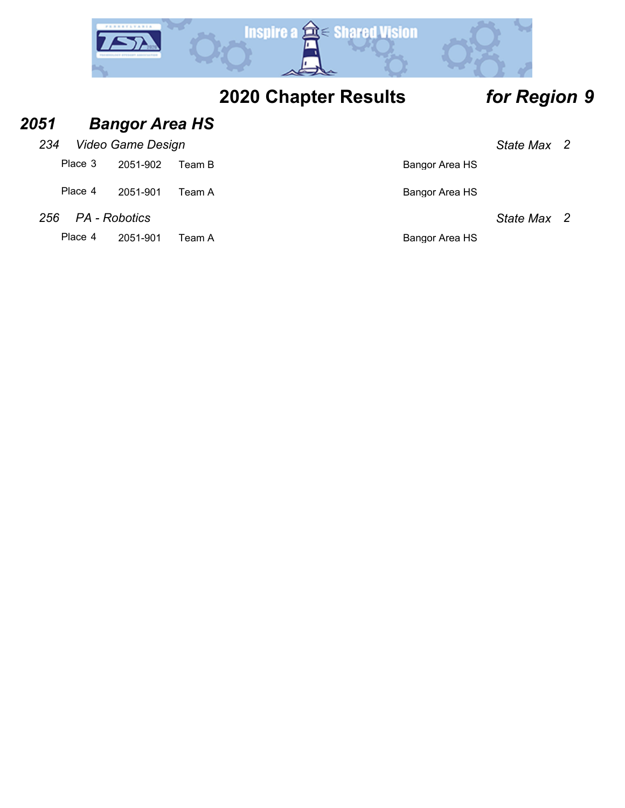

### *2051 Bangor Area HS 234 Video Game Design State Max 2* Place 3 2051-902 Team B Bangor Area HS Place 4 2051-901 Team A Bangor Area HS *256 PA - Robotics State Max 2* Place 4 2051-901 Team A Bangor Area HS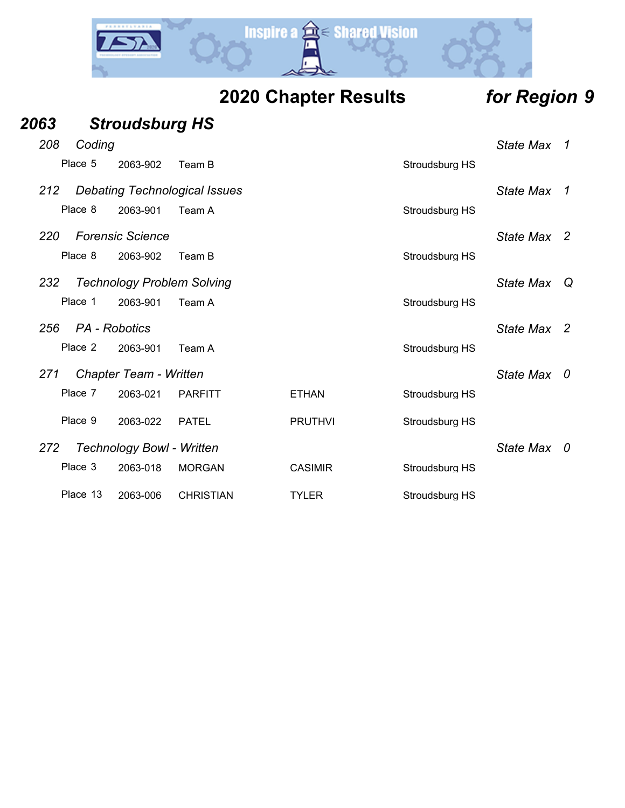

| 2063     | <b>Stroudsburg HS</b>                |                  |                |                |                  |                |
|----------|--------------------------------------|------------------|----------------|----------------|------------------|----------------|
| 208      | Coding                               |                  |                |                | <b>State Max</b> | $\overline{1}$ |
| Place 5  | 2063-902                             | Team B           |                | Stroudsburg HS |                  |                |
| 212      | <b>Debating Technological Issues</b> |                  |                |                | <b>State Max</b> | $\overline{1}$ |
| Place 8  | 2063-901                             | Team A           |                | Stroudsburg HS |                  |                |
| 220      | <b>Forensic Science</b>              |                  |                |                | State Max 2      |                |
| Place 8  | 2063-902                             | Team B           |                | Stroudsburg HS |                  |                |
| 232      | <b>Technology Problem Solving</b>    |                  |                |                | <b>State Max</b> |                |
| Place 1  | 2063-901                             | Team A           |                | Stroudsburg HS |                  |                |
| 256      | PA - Robotics                        |                  |                |                | <b>State Max</b> | $\overline{2}$ |
| Place 2  | 2063-901                             | Team A           |                | Stroudsburg HS |                  |                |
| 271      | Chapter Team - Written               |                  |                |                | State Max 0      |                |
| Place 7  | 2063-021                             | <b>PARFITT</b>   | <b>ETHAN</b>   | Stroudsburg HS |                  |                |
| Place 9  | 2063-022                             | <b>PATEL</b>     | <b>PRUTHVI</b> | Stroudsburg HS |                  |                |
| 272      | <b>Technology Bowl - Written</b>     |                  |                |                | State Max 0      |                |
| Place 3  | 2063-018                             | <b>MORGAN</b>    | <b>CASIMIR</b> | Stroudsburg HS |                  |                |
| Place 13 | 2063-006                             | <b>CHRISTIAN</b> | <b>TYLER</b>   | Stroudsburg HS |                  |                |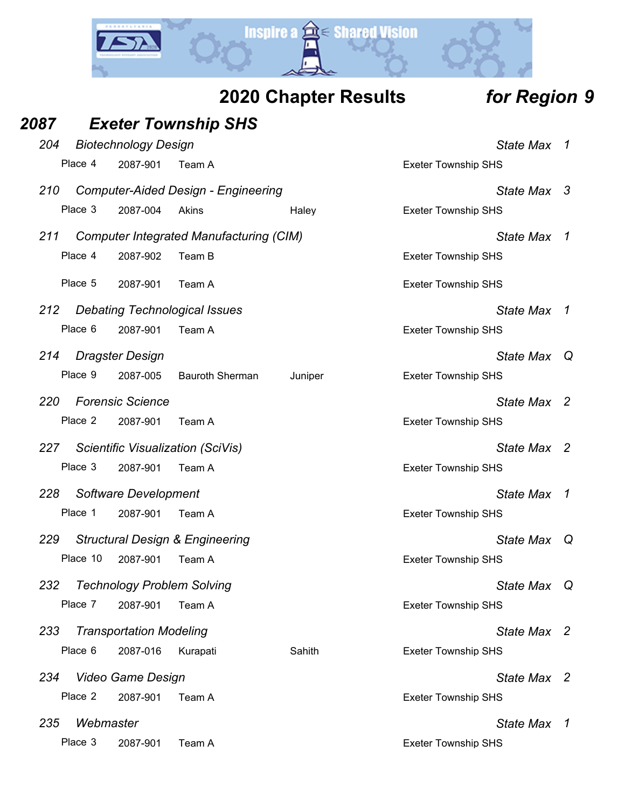

| <b>2020 Chapter Results</b> |
|-----------------------------|
|-----------------------------|

### $$

| 2087 |           |                                | <b>Exeter Township SHS</b>                     |         |                            |                  |                |
|------|-----------|--------------------------------|------------------------------------------------|---------|----------------------------|------------------|----------------|
| 204  |           | <b>Biotechnology Design</b>    |                                                |         |                            | <b>State Max</b> | $\overline{1}$ |
|      | Place 4   | 2087-901                       | Team A                                         |         | <b>Exeter Township SHS</b> |                  |                |
| 210  |           |                                | <b>Computer-Aided Design - Engineering</b>     |         |                            | State Max 3      |                |
|      | Place 3   | 2087-004                       | Akins                                          | Haley   | <b>Exeter Township SHS</b> |                  |                |
| 211  |           |                                | <b>Computer Integrated Manufacturing (CIM)</b> |         |                            | <b>State Max</b> | 1              |
|      | Place 4   | 2087-902                       | Team B                                         |         | <b>Exeter Township SHS</b> |                  |                |
|      | Place 5   | 2087-901                       | Team A                                         |         | <b>Exeter Township SHS</b> |                  |                |
| 212  |           |                                | <b>Debating Technological Issues</b>           |         |                            | <b>State Max</b> | $\mathcal I$   |
|      | Place 6   | 2087-901                       | Team A                                         |         | <b>Exeter Township SHS</b> |                  |                |
| 214  |           | <b>Dragster Design</b>         |                                                |         |                            | <b>State Max</b> | Q              |
|      | Place 9   | 2087-005                       | <b>Bauroth Sherman</b>                         | Juniper | <b>Exeter Township SHS</b> |                  |                |
| 220  |           | <b>Forensic Science</b>        |                                                |         |                            | State Max 2      |                |
|      | Place 2   | 2087-901                       | Team A                                         |         | <b>Exeter Township SHS</b> |                  |                |
| 227  |           |                                | <b>Scientific Visualization (SciVis)</b>       |         |                            | State Max 2      |                |
|      | Place 3   | 2087-901                       | Team A                                         |         | <b>Exeter Township SHS</b> |                  |                |
| 228  |           | Software Development           |                                                |         |                            | <b>State Max</b> | $\mathcal I$   |
|      | Place 1   | 2087-901                       | Team A                                         |         | <b>Exeter Township SHS</b> |                  |                |
| 229  |           |                                | <b>Structural Design &amp; Engineering</b>     |         |                            | <b>State Max</b> | Q              |
|      |           | Place 10 2087-901 Team A       |                                                |         | <b>Exeter Township SHS</b> |                  |                |
| 232  |           |                                | <b>Technology Problem Solving</b>              |         |                            | <b>State Max</b> | O CO           |
|      | Place 7   | 2087-901                       | Team A                                         |         | <b>Exeter Township SHS</b> |                  |                |
| 233  |           | <b>Transportation Modeling</b> |                                                |         |                            | State Max 2      |                |
|      | Place 6   | 2087-016                       | Kurapati                                       | Sahith  | <b>Exeter Township SHS</b> |                  |                |
| 234  |           | <b>Video Game Design</b>       |                                                |         |                            | State Max 2      |                |
|      | Place 2   | 2087-901                       | Team A                                         |         | <b>Exeter Township SHS</b> |                  |                |
| 235  | Webmaster |                                |                                                |         |                            | State Max        | $\overline{1}$ |
|      | Place 3   | 2087-901                       | Team A                                         |         | <b>Exeter Township SHS</b> |                  |                |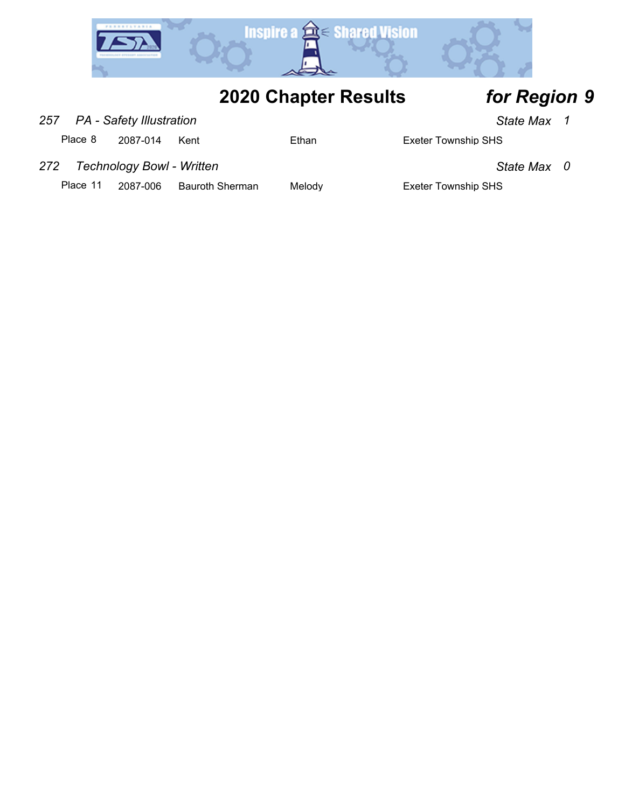

- *257 PA Safety Illustration State Max 1*
	- Place 8 2087-014 Kent Ethan Ethan Exeter Township SHS

- 
- *272 Technology Bowl Written State Max 0*
	- Place 11 2087-006 Bauroth Sherman Melody **Exeter Township SHS**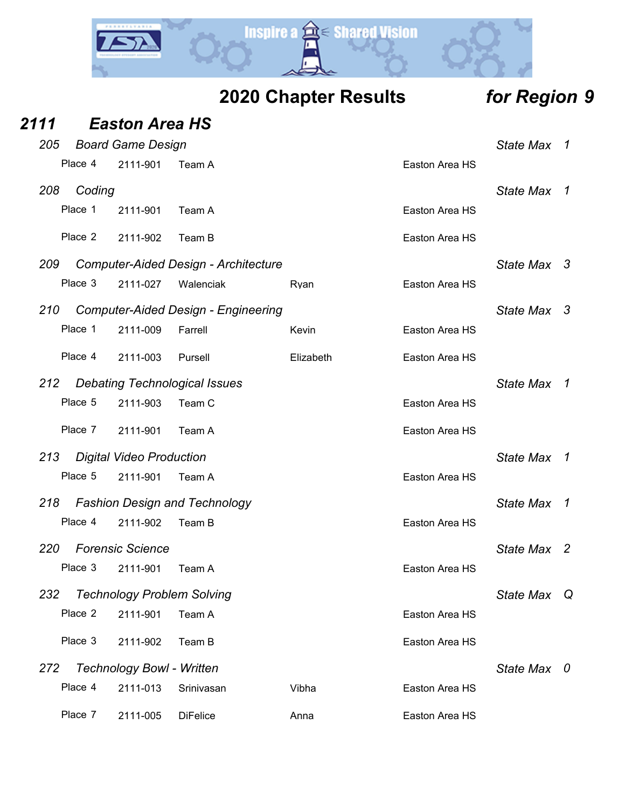

| <b>2020 Chapter Results</b> |  |  |  |  |
|-----------------------------|--|--|--|--|
|-----------------------------|--|--|--|--|

# *Region* **9**

| 2111 |         | <b>Easton Area HS</b>            |                                             |           |                |                  |     |
|------|---------|----------------------------------|---------------------------------------------|-----------|----------------|------------------|-----|
| 205  |         | <b>Board Game Design</b>         |                                             |           |                | <b>State Max</b> | 1   |
|      | Place 4 | 2111-901                         | Team A                                      |           | Easton Area HS |                  |     |
| 208  | Coding  |                                  |                                             |           |                | <b>State Max</b> | 1   |
|      | Place 1 | 2111-901                         | Team A                                      |           | Easton Area HS |                  |     |
|      | Place 2 | 2111-902                         | Team B                                      |           | Easton Area HS |                  |     |
| 209  |         |                                  | <b>Computer-Aided Design - Architecture</b> |           |                | <b>State Max</b> | - 3 |
|      | Place 3 | 2111-027                         | Walenciak                                   | Ryan      | Easton Area HS |                  |     |
| 210  |         |                                  | <b>Computer-Aided Design - Engineering</b>  |           |                | <b>State Max</b> | -3  |
|      | Place 1 | 2111-009                         | Farrell                                     | Kevin     | Easton Area HS |                  |     |
|      | Place 4 | 2111-003                         | Pursell                                     | Elizabeth | Easton Area HS |                  |     |
| 212  |         |                                  | <b>Debating Technological Issues</b>        |           |                | <b>State Max</b> | 1   |
|      | Place 5 | 2111-903                         | Team C                                      |           | Easton Area HS |                  |     |
|      | Place 7 | 2111-901                         | Team A                                      |           | Easton Area HS |                  |     |
| 213  |         | <b>Digital Video Production</b>  |                                             |           |                | <b>State Max</b> | 1   |
|      | Place 5 | 2111-901                         | Team A                                      |           | Easton Area HS |                  |     |
| 218  |         |                                  | <b>Fashion Design and Technology</b>        |           |                | <b>State Max</b> | 1   |
|      | Place 4 | 2111-902                         | Team B                                      |           | Easton Area HS |                  |     |
| 220  |         | <b>Forensic Science</b>          |                                             |           |                | <b>State Max</b> | -2  |
|      | Place 3 | 2111-901                         | Team A                                      |           | Easton Area HS |                  |     |
| 232  |         |                                  | <b>Technology Problem Solving</b>           |           |                | <b>State Max</b> | Q   |
|      | Place 2 | 2111-901                         | Team A                                      |           | Easton Area HS |                  |     |
|      | Place 3 | 2111-902                         | Team B                                      |           | Easton Area HS |                  |     |
| 272  |         | <b>Technology Bowl - Written</b> |                                             |           |                | State Max 0      |     |
|      | Place 4 | 2111-013                         | Srinivasan                                  | Vibha     | Easton Area HS |                  |     |
|      | Place 7 | 2111-005                         | <b>DiFelice</b>                             | Anna      | Easton Area HS |                  |     |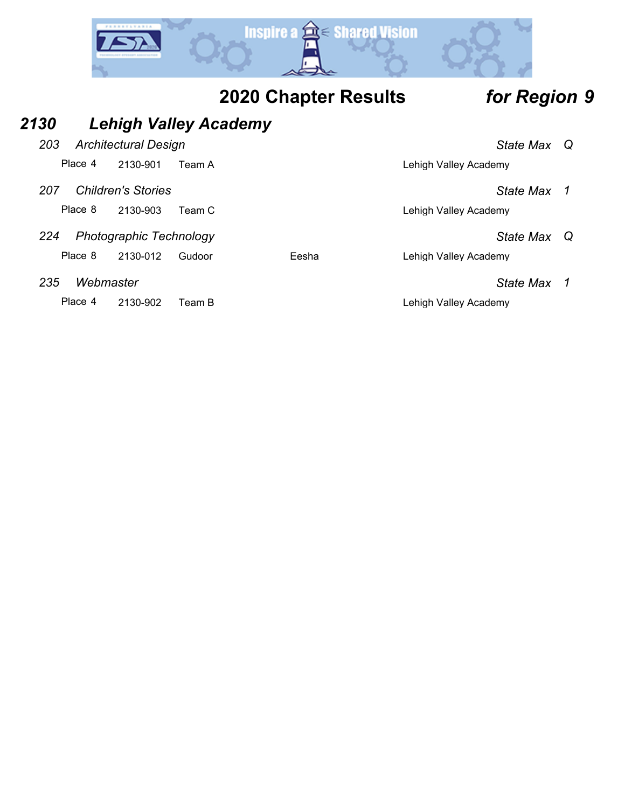

### *2130 Lehigh Valley Academy*

- *203 Architectural Design State Max Q*
	- Place 4 2130-901 Team A Lehigh Valley Academy
- *207 Children's Stories State Max 1*
	- Place 8 2130-903 Team C Lehigh Valley Academy
- *224 Photographic Technology State Max Q*

Place 8 2130-012 Gudoor Eesha Lehigh Valley Academy

*235 Webmaster State Max 1*

Place 4 2130-902 Team B Lehigh Valley Academy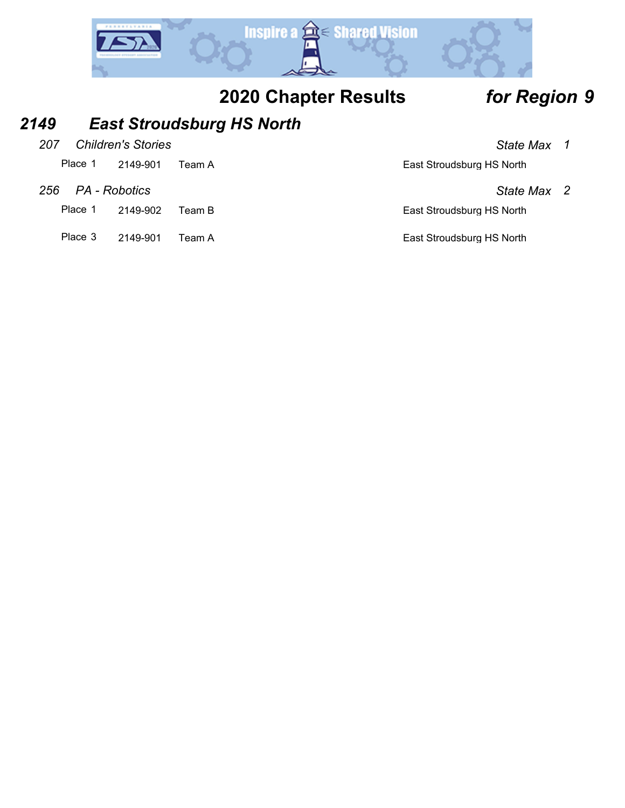

### *2149 East Stroudsburg HS North*

| 207 |         | <b>Children's Stories</b> | State Max 1               |  |
|-----|---------|---------------------------|---------------------------|--|
|     | Place 1 | 2149-901 Team A           | East Stroudsburg HS North |  |

| 256 PA - Robotics | State Max 2 |  |
|-------------------|-------------|--|

Place 1 2149-902 Team B East Stroudsburg HS North

Place 3 2149-901 Team A East Stroudsburg HS North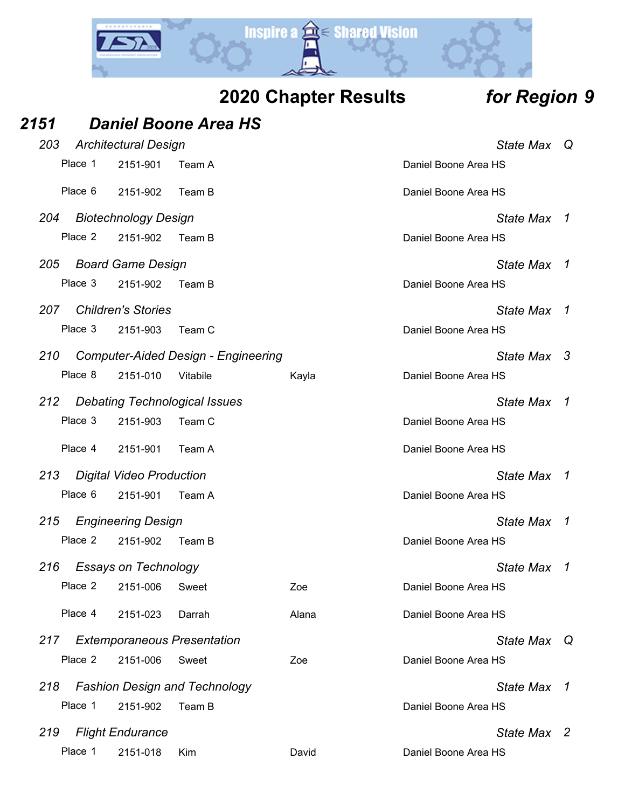

| 2151 |         |                                 | <b>Daniel Boone Area HS</b>                |       |                      |                  |                |
|------|---------|---------------------------------|--------------------------------------------|-------|----------------------|------------------|----------------|
| 203  |         | <b>Architectural Design</b>     |                                            |       |                      | State Max        | $\Omega$       |
|      | Place 1 | 2151-901                        | Team A                                     |       | Daniel Boone Area HS |                  |                |
|      | Place 6 | 2151-902                        | Team B                                     |       | Daniel Boone Area HS |                  |                |
| 204  |         | <b>Biotechnology Design</b>     |                                            |       |                      | State Max        | $\mathcal I$   |
|      | Place 2 | 2151-902                        | Team B                                     |       | Daniel Boone Area HS |                  |                |
| 205  |         | <b>Board Game Design</b>        |                                            |       |                      | <b>State Max</b> | $\overline{1}$ |
|      | Place 3 | 2151-902                        | Team B                                     |       | Daniel Boone Area HS |                  |                |
| 207  |         | <b>Children's Stories</b>       |                                            |       |                      | <b>State Max</b> | $\mathcal I$   |
|      | Place 3 | 2151-903                        | Team C                                     |       | Daniel Boone Area HS |                  |                |
| 210  |         |                                 | <b>Computer-Aided Design - Engineering</b> |       |                      | State Max 3      |                |
|      | Place 8 | 2151-010                        | Vitabile                                   | Kayla | Daniel Boone Area HS |                  |                |
| 212  |         |                                 | <b>Debating Technological Issues</b>       |       |                      | <b>State Max</b> | -1             |
|      | Place 3 | 2151-903                        | Team C                                     |       | Daniel Boone Area HS |                  |                |
|      | Place 4 | 2151-901                        | Team A                                     |       | Daniel Boone Area HS |                  |                |
| 213  |         | <b>Digital Video Production</b> |                                            |       |                      | <b>State Max</b> | -1             |
|      | Place 6 | 2151-901                        | Team A                                     |       | Daniel Boone Area HS |                  |                |
| 215  |         | <b>Engineering Design</b>       |                                            |       |                      | <b>State Max</b> | - 7            |
|      | Place 2 | 2151-902                        | Team B                                     |       | Daniel Boone Area HS |                  |                |
| 216  |         | <b>Essays on Technology</b>     |                                            |       |                      | State Max        | 1              |
|      | Place 2 | 2151-006                        | Sweet                                      | Zoe   | Daniel Boone Area HS |                  |                |
|      | Place 4 | 2151-023                        | Darrah                                     | Alana | Daniel Boone Area HS |                  |                |
|      |         |                                 | 217 Extemporaneous Presentation            |       |                      | State Max        | Q              |
|      | Place 2 | 2151-006                        | Sweet                                      | Zoe   | Daniel Boone Area HS |                  |                |
| 218  |         |                                 | <b>Fashion Design and Technology</b>       |       |                      | <b>State Max</b> | $\overline{1}$ |
|      | Place 1 | 2151-902                        | Team B                                     |       | Daniel Boone Area HS |                  |                |
| 219  |         | <b>Flight Endurance</b>         |                                            |       |                      | State Max 2      |                |
|      | Place 1 | 2151-018                        | Kim                                        | David | Daniel Boone Area HS |                  |                |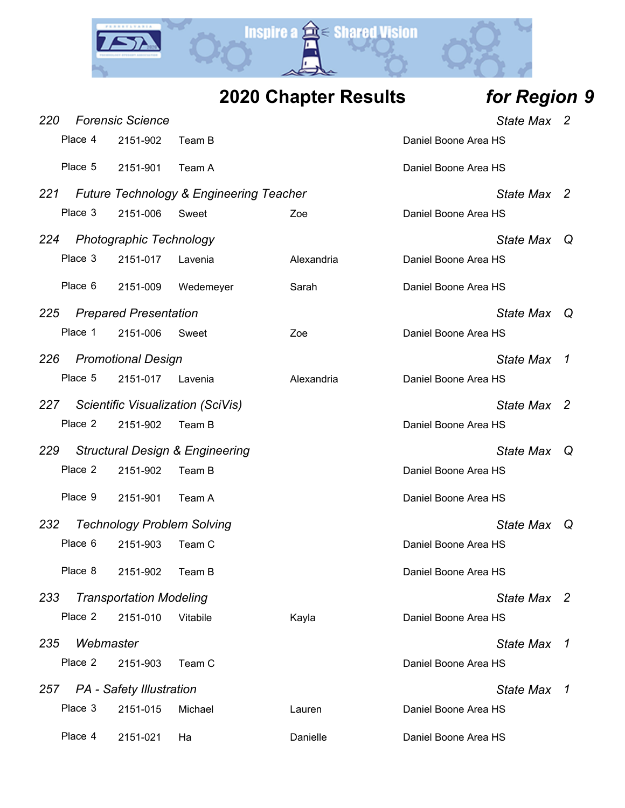

| <b>2020 Chapter Results</b> | for Region 9 |
|-----------------------------|--------------|
|-----------------------------|--------------|

| 220 |           | <b>Forensic Science</b>         |                                                    |            | <b>State Max</b>     | - 2            |
|-----|-----------|---------------------------------|----------------------------------------------------|------------|----------------------|----------------|
|     | Place 4   | 2151-902                        | Team B                                             |            | Daniel Boone Area HS |                |
|     | Place 5   | 2151-901                        | Team A                                             |            | Daniel Boone Area HS |                |
| 221 |           |                                 | <b>Future Technology &amp; Engineering Teacher</b> |            | State Max 2          |                |
|     | Place 3   | 2151-006                        | Sweet                                              | Zoe        | Daniel Boone Area HS |                |
| 224 |           | <b>Photographic Technology</b>  |                                                    |            | State Max            | $\omega$       |
|     | Place 3   | 2151-017                        | Lavenia                                            | Alexandria | Daniel Boone Area HS |                |
|     | Place 6   | 2151-009                        | Wedemeyer                                          | Sarah      | Daniel Boone Area HS |                |
| 225 |           | <b>Prepared Presentation</b>    |                                                    |            | State Max            | $\omega$       |
|     | Place 1   | 2151-006                        | Sweet                                              | Zoe        | Daniel Boone Area HS |                |
| 226 |           | <b>Promotional Design</b>       |                                                    |            | <b>State Max</b>     | 7              |
|     | Place 5   | 2151-017                        | Lavenia                                            | Alexandria | Daniel Boone Area HS |                |
| 227 |           |                                 | Scientific Visualization (SciVis)                  |            | State Max 2          |                |
|     | Place 2   | 2151-902                        | Team B                                             |            | Daniel Boone Area HS |                |
| 229 |           |                                 | <b>Structural Design &amp; Engineering</b>         |            | <b>State Max</b>     | Q              |
|     | Place 2   | 2151-902                        | Team B                                             |            | Daniel Boone Area HS |                |
|     | Place 9   | 2151-901                        | Team A                                             |            | Daniel Boone Area HS |                |
| 232 |           |                                 | <b>Technology Problem Solving</b>                  |            | <b>State Max</b>     | Q              |
|     | Place 6   | 2151-903                        | Team C                                             |            | Daniel Boone Area HS |                |
|     | Place 8   | 2151-902                        | Team B                                             |            | Daniel Boone Area HS |                |
| 233 |           | <b>Transportation Modeling</b>  |                                                    |            | State Max 2          |                |
|     | Place 2   | 2151-010                        | Vitabile                                           | Kayla      | Daniel Boone Area HS |                |
| 235 | Webmaster |                                 |                                                    |            | <b>State Max</b>     | 1              |
|     | Place 2   | 2151-903                        | Team C                                             |            | Daniel Boone Area HS |                |
| 257 |           | <b>PA</b> - Safety Illustration |                                                    |            | <b>State Max</b>     | $\overline{1}$ |
|     | Place 3   | 2151-015                        | Michael                                            | Lauren     | Daniel Boone Area HS |                |
|     | Place 4   | 2151-021                        | Ha                                                 | Danielle   | Daniel Boone Area HS |                |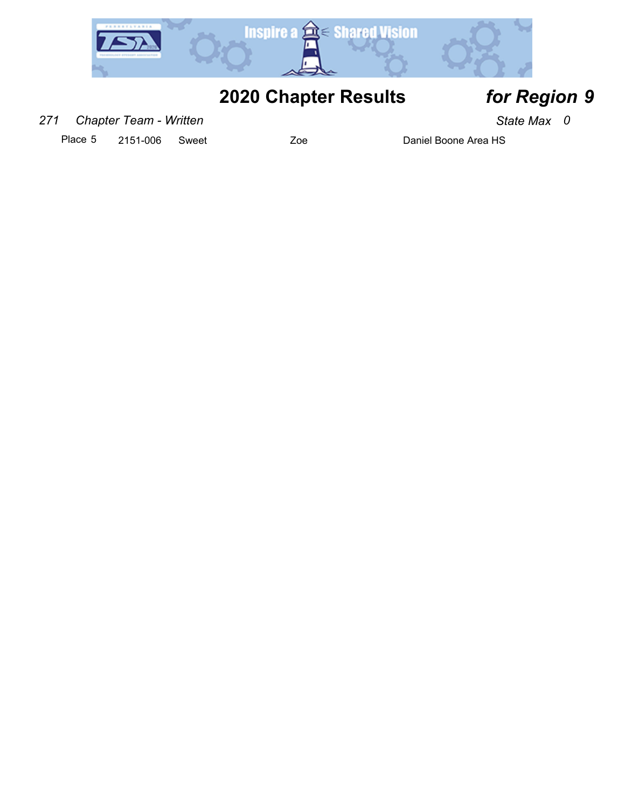

### *271 Chapter Team - Written State Max 0*

Place 5 2151-006 Sweet Zoe Zoe Daniel Boone Area HS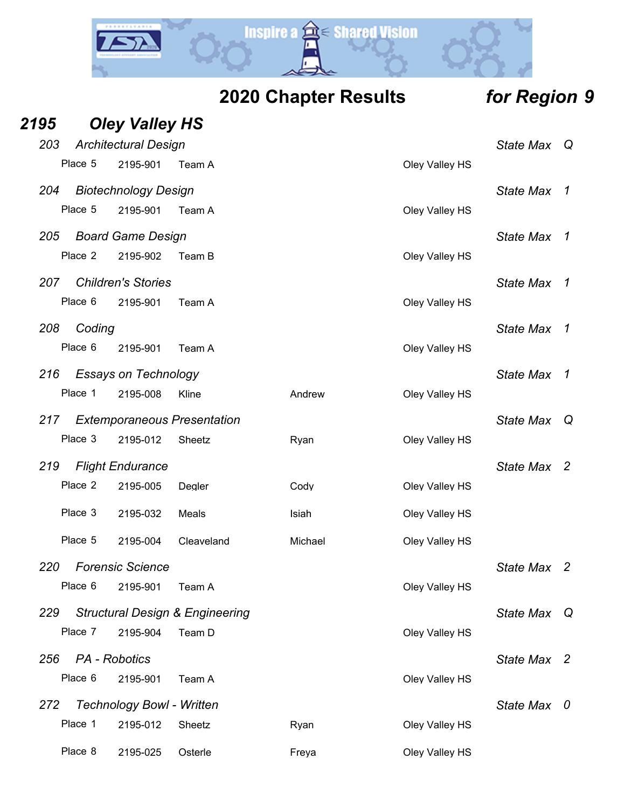

|  | 2020 Chapter Results |  |  |  |
|--|----------------------|--|--|--|
|--|----------------------|--|--|--|

# *Region* **9**

| 2195 |         | <b>Oley Valley HS</b>            |                                            |         |                  |                  |                          |
|------|---------|----------------------------------|--------------------------------------------|---------|------------------|------------------|--------------------------|
| 203  |         | <b>Architectural Design</b>      |                                            |         | <b>State Max</b> | Q                |                          |
|      | Place 5 | 2195-901                         | Team A                                     |         | Oley Valley HS   |                  |                          |
| 204  |         | <b>Biotechnology Design</b>      |                                            |         |                  | <b>State Max</b> | $\mathcal I$             |
|      | Place 5 | 2195-901                         | Team A                                     |         | Oley Valley HS   |                  |                          |
| 205  |         | <b>Board Game Design</b>         |                                            |         |                  | <b>State Max</b> | -7                       |
|      | Place 2 | 2195-902                         | Team B                                     |         | Oley Valley HS   |                  |                          |
| 207  |         | <b>Children's Stories</b>        |                                            |         |                  | <b>State Max</b> | $\overline{1}$           |
|      | Place 6 | 2195-901                         | Team A                                     |         | Oley Valley HS   |                  |                          |
| 208  | Coding  |                                  |                                            |         |                  | <b>State Max</b> | $\mathcal{I}$            |
|      | Place 6 | 2195-901                         | Team A                                     |         | Oley Valley HS   |                  |                          |
| 216  |         | <b>Essays on Technology</b>      |                                            |         |                  | <b>State Max</b> | $\mathcal{I}$            |
|      | Place 1 | 2195-008                         | Kline                                      | Andrew  | Oley Valley HS   |                  |                          |
| 217  |         |                                  | <b>Extemporaneous Presentation</b>         |         |                  | <b>State Max</b> | Q                        |
|      | Place 3 | 2195-012                         | Sheetz                                     | Ryan    | Oley Valley HS   |                  |                          |
| 219  |         | <b>Flight Endurance</b>          |                                            |         |                  | <b>State Max</b> | - 2                      |
|      | Place 2 | 2195-005                         | Degler                                     | Cody    | Oley Valley HS   |                  |                          |
|      | Place 3 | 2195-032                         | Meals                                      | Isiah   | Oley Valley HS   |                  |                          |
|      | Place 5 | 2195-004                         | Cleaveland                                 | Michael | Oley Valley HS   |                  |                          |
| 220  |         | <b>Forensic Science</b>          |                                            |         |                  | <b>State Max</b> | 2                        |
|      | Place 6 | 2195-901                         | Team A                                     |         | Oley Valley HS   |                  |                          |
| 229  |         |                                  | <b>Structural Design &amp; Engineering</b> |         |                  | <b>State Max</b> | Q                        |
|      | Place 7 | 2195-904                         | Team D                                     |         | Oley Valley HS   |                  |                          |
| 256  |         | PA - Robotics                    |                                            |         |                  | <b>State Max</b> | $\overline{\phantom{a}}$ |
|      | Place 6 | 2195-901                         | Team A                                     |         | Oley Valley HS   |                  |                          |
| 272  |         | <b>Technology Bowl - Written</b> |                                            |         |                  | <b>State Max</b> | $\bm{0}$                 |
|      | Place 1 | 2195-012                         | Sheetz                                     | Ryan    | Oley Valley HS   |                  |                          |
|      | Place 8 | 2195-025                         | Osterle                                    | Freya   | Oley Valley HS   |                  |                          |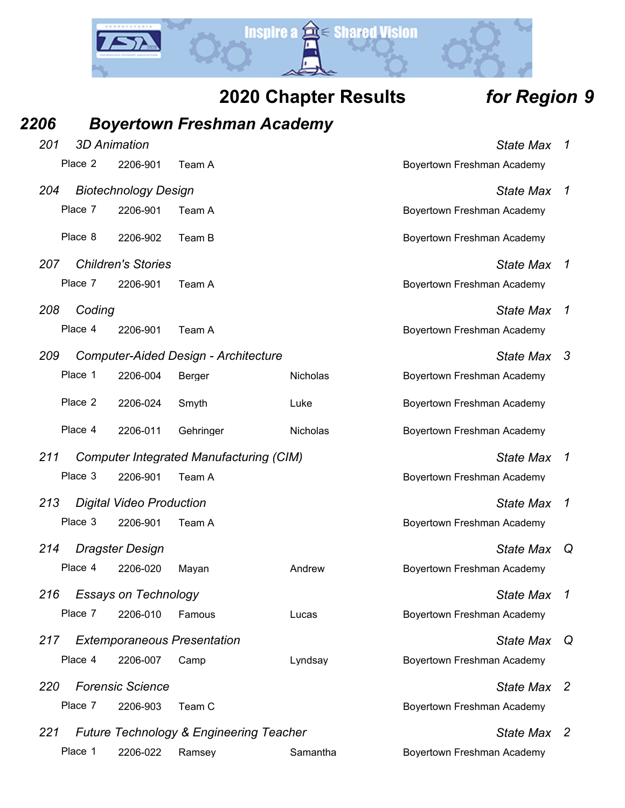

| 2206 |                     |                                 | <b>Boyertown Freshman Academy</b>                  |          |                            |                  |                            |
|------|---------------------|---------------------------------|----------------------------------------------------|----------|----------------------------|------------------|----------------------------|
| 201  | <b>3D Animation</b> |                                 |                                                    |          |                            | <b>State Max</b> | $\overline{1}$             |
|      | Place 2             | 2206-901                        | Team A                                             |          | Boyertown Freshman Academy |                  |                            |
| 204  |                     | <b>Biotechnology Design</b>     |                                                    |          |                            | <b>State Max</b> | $\mathcal{I}$              |
|      | Place 7             | 2206-901                        | Team A                                             |          | Boyertown Freshman Academy |                  |                            |
|      | Place 8             | 2206-902                        | Team B                                             |          | Boyertown Freshman Academy |                  |                            |
| 207  |                     | <b>Children's Stories</b>       |                                                    |          |                            | <b>State Max</b> | $\mathcal I$               |
|      | Place 7             | 2206-901                        | Team A                                             |          | Boyertown Freshman Academy |                  |                            |
| 208  | Coding              |                                 |                                                    |          |                            | <b>State Max</b> | $\boldsymbol{\mathcal{1}}$ |
|      | Place 4             | 2206-901                        | Team A                                             |          | Boyertown Freshman Academy |                  |                            |
| 209  |                     |                                 | <b>Computer-Aided Design - Architecture</b>        |          |                            | <b>State Max</b> | -3                         |
|      | Place 1             | 2206-004                        | Berger                                             | Nicholas | Boyertown Freshman Academy |                  |                            |
|      | Place 2             | 2206-024                        | Smyth                                              | Luke     | Boyertown Freshman Academy |                  |                            |
|      | Place 4             | 2206-011                        | Gehringer                                          | Nicholas | Boyertown Freshman Academy |                  |                            |
| 211  |                     |                                 | <b>Computer Integrated Manufacturing (CIM)</b>     |          |                            | <b>State Max</b> | $\boldsymbol{\mathcal{L}}$ |
|      | Place 3             | 2206-901                        | Team A                                             |          | Boyertown Freshman Academy |                  |                            |
| 213  |                     | <b>Digital Video Production</b> |                                                    |          |                            | <b>State Max</b> | $\mathcal I$               |
|      | Place 3             | 2206-901                        | Team A                                             |          | Boyertown Freshman Academy |                  |                            |
| 214  |                     | Dragster Design                 |                                                    |          |                            | <b>State Max</b> | Q                          |
|      | Place 4             | 2206-020                        | Mayan                                              | Andrew   | Boyertown Freshman Academy |                  |                            |
| 216  |                     | <b>Essays on Technology</b>     |                                                    |          |                            | <b>State Max</b> | $\overline{1}$             |
|      | Place 7             | 2206-010                        | Famous                                             | Lucas    | Boyertown Freshman Academy |                  |                            |
| 217  |                     |                                 | <b>Extemporaneous Presentation</b>                 |          |                            | <b>State Max</b> | Q                          |
|      | Place 4             | 2206-007                        | Camp                                               | Lyndsay  | Boyertown Freshman Academy |                  |                            |
| 220  |                     | <b>Forensic Science</b>         |                                                    |          |                            | <b>State Max</b> | $\overline{2}$             |
|      | Place 7             | 2206-903                        | Team C                                             |          | Boyertown Freshman Academy |                  |                            |
| 221  |                     |                                 | <b>Future Technology &amp; Engineering Teacher</b> |          |                            | State Max 2      |                            |
|      | Place 1             | 2206-022                        | Ramsey                                             | Samantha | Boyertown Freshman Academy |                  |                            |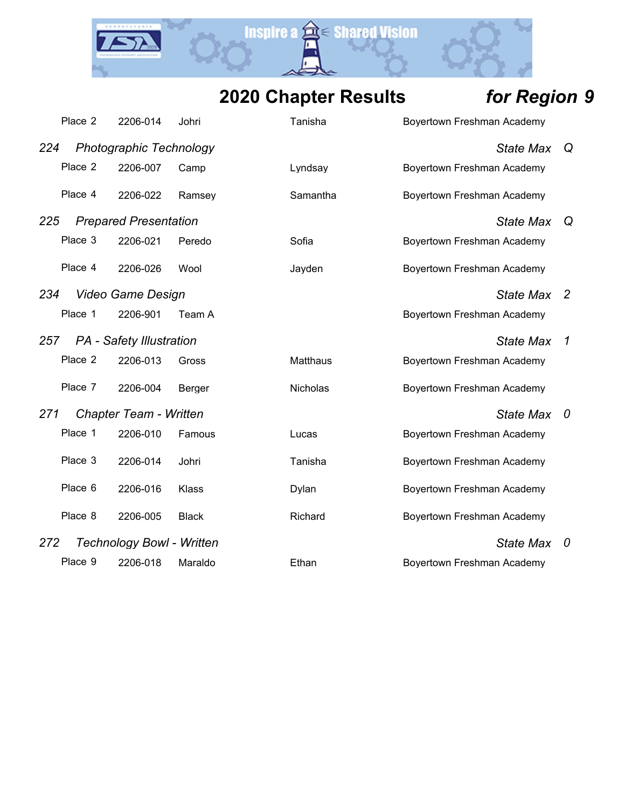Y.

**Inspire a a Shared Vision** 

|     | Place 2 | 2206-014                         | Johri        | Tanisha         | Boyertown Freshman Academy |                  |                |
|-----|---------|----------------------------------|--------------|-----------------|----------------------------|------------------|----------------|
| 224 |         | <b>Photographic Technology</b>   |              |                 |                            | <b>State Max</b> | Q              |
|     | Place 2 | 2206-007                         | Camp         | Lyndsay         | Boyertown Freshman Academy |                  |                |
|     | Place 4 | 2206-022                         | Ramsey       | Samantha        | Boyertown Freshman Academy |                  |                |
| 225 |         | <b>Prepared Presentation</b>     |              |                 |                            | <b>State Max</b> | Q              |
|     | Place 3 | 2206-021                         | Peredo       | Sofia           | Boyertown Freshman Academy |                  |                |
|     | Place 4 | 2206-026                         | Wool         | Jayden          | Boyertown Freshman Academy |                  |                |
| 234 |         | <b>Video Game Design</b>         |              |                 |                            | <b>State Max</b> | $\overline{2}$ |
|     | Place 1 | 2206-901                         | Team A       |                 | Boyertown Freshman Academy |                  |                |
| 257 |         | <b>PA</b> - Safety Illustration  |              |                 |                            | <b>State Max</b> | $\mathcal I$   |
|     | Place 2 | 2206-013                         | Gross        | <b>Matthaus</b> | Boyertown Freshman Academy |                  |                |
|     | Place 7 | 2206-004                         | Berger       | Nicholas        | Boyertown Freshman Academy |                  |                |
| 271 |         | <b>Chapter Team - Written</b>    |              |                 |                            | <b>State Max</b> | 0              |
|     | Place 1 | 2206-010                         | Famous       | Lucas           | Boyertown Freshman Academy |                  |                |
|     | Place 3 | 2206-014                         | Johri        | Tanisha         | Boyertown Freshman Academy |                  |                |
|     | Place 6 | 2206-016                         | Klass        | Dylan           | Boyertown Freshman Academy |                  |                |
|     | Place 8 | 2206-005                         | <b>Black</b> | Richard         | Boyertown Freshman Academy |                  |                |
| 272 |         | <b>Technology Bowl - Written</b> |              |                 |                            | <b>State Max</b> | 0              |
|     | Place 9 | 2206-018                         | Maraldo      | Ethan           | Boyertown Freshman Academy |                  |                |